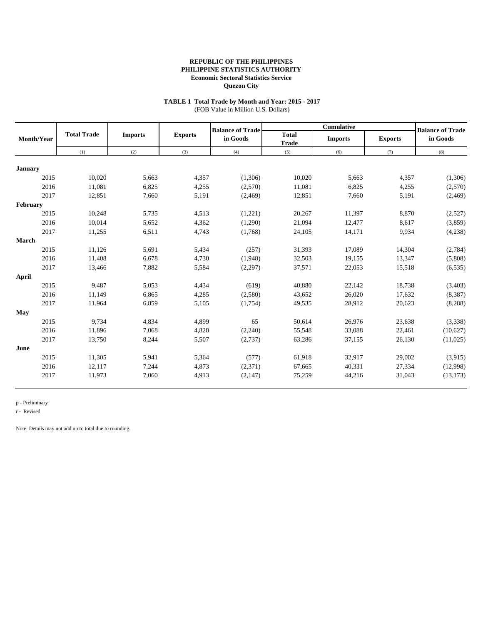# **TABLE 1 Total Trade by Month and Year: 2015 - 2017**

(FOB Value in Million U.S. Dollars)

|                |                    |                |                | <b>Balance of Trade</b> |                              | <b>Cumulative</b> |                | <b>Balance of Trade</b> |
|----------------|--------------------|----------------|----------------|-------------------------|------------------------------|-------------------|----------------|-------------------------|
| Month/Year     | <b>Total Trade</b> | <b>Imports</b> | <b>Exports</b> | in Goods                | <b>Total</b><br><b>Trade</b> | <b>Imports</b>    | <b>Exports</b> | in Goods                |
|                | (1)                | (2)            | (3)            | (4)                     | (5)                          | (6)               | (7)            | (8)                     |
|                |                    |                |                |                         |                              |                   |                |                         |
| <b>January</b> |                    |                |                |                         |                              |                   |                |                         |
| 2015           | 10,020             | 5,663          | 4,357          | (1,306)                 | 10,020                       | 5,663             | 4,357          | (1,306)                 |
| 2016           | 11,081             | 6,825          | 4,255          | (2,570)                 | 11,081                       | 6,825             | 4,255          | (2,570)                 |
| 2017           | 12,851             | 7,660          | 5,191          | (2,469)                 | 12,851                       | 7,660             | 5,191          | (2, 469)                |
| February       |                    |                |                |                         |                              |                   |                |                         |
| 2015           | 10,248             | 5,735          | 4,513          | (1,221)                 | 20,267                       | 11,397            | 8,870          | (2,527)                 |
| 2016           | 10.014             | 5,652          | 4,362          | (1,290)                 | 21,094                       | 12,477            | 8,617          | (3,859)                 |
| 2017           | 11,255             | 6,511          | 4,743          | (1,768)                 | 24,105                       | 14,171            | 9,934          | (4,238)                 |
| <b>March</b>   |                    |                |                |                         |                              |                   |                |                         |
| 2015           | 11,126             | 5,691          | 5,434          | (257)                   | 31,393                       | 17,089            | 14,304         | (2,784)                 |
| 2016           | 11.408             | 6,678          | 4,730          | (1,948)                 | 32,503                       | 19,155            | 13,347         | (5,808)                 |
| 2017           | 13,466             | 7,882          | 5,584          | (2,297)                 | 37,571                       | 22,053            | 15,518         | (6, 535)                |
| April          |                    |                |                |                         |                              |                   |                |                         |
| 2015           | 9,487              | 5,053          | 4,434          | (619)                   | 40,880                       | 22,142            | 18,738         | (3,403)                 |
| 2016           | 11,149             | 6,865          | 4,285          | (2,580)                 | 43,652                       | 26,020            | 17,632         | (8,387)                 |
| 2017           | 11,964             | 6,859          | 5,105          | (1,754)                 | 49,535                       | 28,912            | 20,623         | (8, 288)                |
| May            |                    |                |                |                         |                              |                   |                |                         |
| 2015           | 9.734              | 4,834          | 4,899          | 65                      | 50,614                       | 26,976            | 23,638         | (3,338)                 |
| 2016           | 11,896             | 7,068          | 4,828          | (2,240)                 | 55,548                       | 33,088            | 22,461         | (10,627)                |
| 2017           | 13,750             | 8,244          | 5,507          | (2,737)                 | 63,286                       | 37,155            | 26,130         | (11,025)                |
| June           |                    |                |                |                         |                              |                   |                |                         |
| 2015           | 11,305             | 5,941          | 5,364          | (577)                   | 61,918                       | 32,917            | 29,002         | (3,915)                 |
| 2016           | 12,117             | 7,244          | 4,873          | (2,371)                 | 67,665                       | 40,331            | 27,334         | (12,998)                |
| 2017           | 11,973             | 7,060          | 4,913          | (2,147)                 | 75,259                       | 44,216            | 31,043         | (13, 173)               |
|                |                    |                |                |                         |                              |                   |                |                         |

p - Preliminary

r - Revised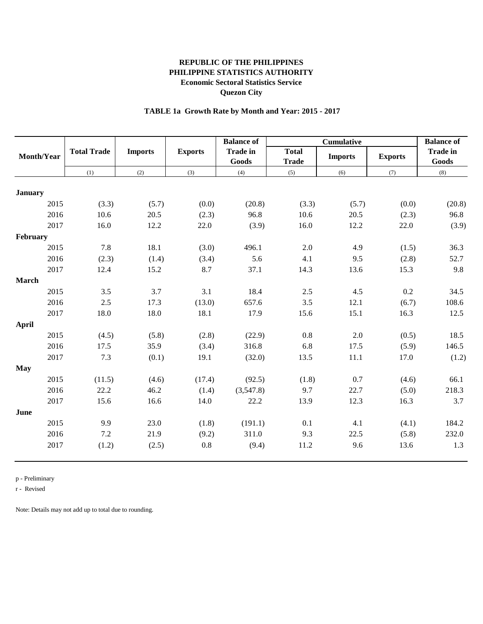# **TABLE 1a Growth Rate by Month and Year: 2015 - 2017**

|                      |                     |                       |                           | <b>Balance of</b>         |                              | <b>Balance of</b>                   |                        |                          |
|----------------------|---------------------|-----------------------|---------------------------|---------------------------|------------------------------|-------------------------------------|------------------------|--------------------------|
| Month/Year           | <b>Total Trade</b>  | <b>Imports</b>        |                           | <b>Trade in</b><br>Goods  | <b>Total</b><br><b>Trade</b> | <b>Cumulative</b><br><b>Imports</b> | <b>Exports</b>         | <b>Trade in</b><br>Goods |
|                      | (1)                 | (2)                   | (3)                       | (4)                       | (5)                          | (6)                                 | (7)                    | (8)                      |
|                      |                     |                       |                           |                           |                              |                                     |                        |                          |
| <b>January</b>       |                     |                       |                           |                           |                              |                                     |                        |                          |
| 2015                 | (3.3)               | (5.7)                 | (0.0)                     | (20.8)                    | (3.3)                        | (5.7)                               | (0.0)                  | (20.8)                   |
| 2016                 | 10.6                | 20.5                  | (2.3)                     | 96.8                      | 10.6                         | 20.5                                | (2.3)                  | 96.8                     |
| 2017                 | 16.0                | 12.2                  | 22.0                      | (3.9)                     | 16.0                         | 12.2                                | 22.0                   | (3.9)                    |
| February             |                     |                       |                           |                           |                              |                                     |                        |                          |
| 2015                 | 7.8                 | 18.1                  | (3.0)                     | 496.1                     | 2.0                          | 4.9                                 | (1.5)                  | 36.3                     |
| 2016                 | (2.3)               | (1.4)                 | (3.4)                     | 5.6                       | 4.1                          | 9.5                                 | (2.8)                  | 52.7                     |
| 2017                 | 12.4                | 15.2                  | 8.7                       | 37.1                      | 14.3                         | 13.6                                | 15.3                   | 9.8                      |
| <b>March</b>         |                     |                       |                           |                           |                              |                                     |                        |                          |
| 2015                 | 3.5                 | 3.7                   | 3.1                       | 18.4                      | $2.5$                        | 4.5                                 | 0.2                    | 34.5                     |
| 2016                 | 2.5                 | 17.3                  | (13.0)                    | 657.6                     | 3.5                          | 12.1                                | (6.7)                  | 108.6                    |
| 2017                 | 18.0                | 18.0                  | 18.1                      | 17.9                      | 15.6                         | 15.1                                | 16.3                   | 12.5                     |
| April                |                     |                       |                           |                           |                              |                                     |                        |                          |
| 2015                 | (4.5)               | (5.8)                 | (2.8)                     | (22.9)                    | 0.8                          | 2.0                                 | (0.5)                  | 18.5                     |
| 2016                 | 17.5                | 35.9                  | (3.4)                     | 316.8                     | 6.8                          | 17.5                                | (5.9)                  | 146.5                    |
| 2017                 | 7.3                 | (0.1)                 | 19.1                      | (32.0)                    | 13.5                         | 11.1                                | 17.0                   | (1.2)                    |
| <b>May</b>           |                     |                       |                           |                           |                              |                                     |                        |                          |
| 2015                 | (11.5)              | (4.6)                 | (17.4)                    | (92.5)                    | (1.8)                        | 0.7                                 | (4.6)                  | 66.1                     |
| 2016                 | 22.2                | 46.2                  | (1.4)                     | (3,547.8)                 | 9.7                          | 22.7                                | (5.0)                  | 218.3                    |
| 2017                 | 15.6                | 16.6                  | 14.0                      | 22.2                      | 13.9                         | 12.3                                | 16.3                   | 3.7                      |
| June                 |                     |                       |                           |                           |                              |                                     |                        |                          |
|                      |                     |                       |                           |                           |                              |                                     |                        |                          |
|                      |                     |                       |                           |                           |                              |                                     |                        |                          |
|                      |                     |                       |                           |                           |                              |                                     |                        |                          |
|                      |                     |                       |                           |                           |                              |                                     |                        |                          |
| 2015<br>2016<br>2017 | 9.9<br>7.2<br>(1.2) | 23.0<br>21.9<br>(2.5) | (1.8)<br>(9.2)<br>$0.8\,$ | (191.1)<br>311.0<br>(9.4) | 0.1<br>9.3<br>11.2           | 4.1<br>22.5<br>9.6                  | (4.1)<br>(5.8)<br>13.6 | 184.2<br>232.0<br>1.3    |

p - Preliminary

r - Revised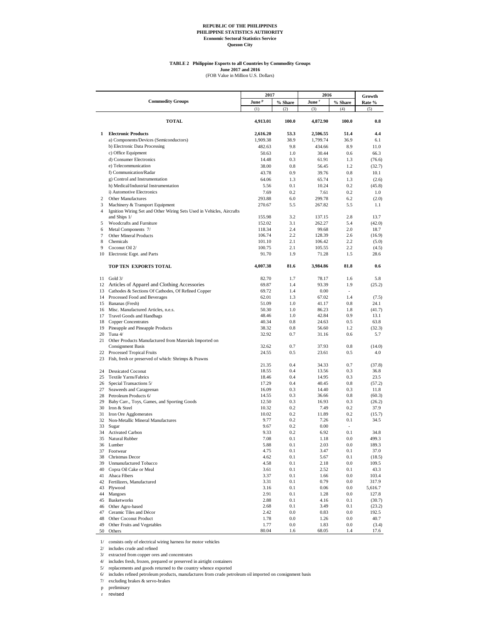#### **TABLE 2 Philippine Exports to all Countries by Commodity Groups**

**June 2017 and 2016**<br>(FOB Value in Million U.S. Dollars)

|                     |                                                                                                          | 2017              |            | 2016              | Growth     |                |
|---------------------|----------------------------------------------------------------------------------------------------------|-------------------|------------|-------------------|------------|----------------|
|                     | <b>Commodity Groups</b>                                                                                  | June <sup>p</sup> | % Share    | June <sup>r</sup> | % Share    | Rate %         |
|                     |                                                                                                          | (1)               | (2)        | (3)               | (4)        | (5)            |
|                     | <b>TOTAL</b>                                                                                             | 4,913.01          | 100.0      | 4,872.90          | 100.0      | $\bf 0.8$      |
| 1                   | <b>Electronic Products</b>                                                                               | 2,616.20          | 53.3       | 2,506.55          | 51.4       | 4.4            |
|                     | a) Components/Devices (Semiconductors)                                                                   | 1,909.38          | 38.9       | 1,799.74          | 36.9       | 6.1            |
|                     | b) Electronic Data Processing                                                                            | 482.63            | 9.8        | 434.66            | 8.9        | 11.0           |
|                     | c) Office Equipment                                                                                      | 50.63             | 1.0        | 30.44             | 0.6        | 66.3           |
|                     | d) Consumer Electronics                                                                                  | 14.48             | 0.3        | 61.91             | 1.3        | (76.6)         |
|                     | e) Telecommunication                                                                                     | 38.00             | 0.8        | 56.45             | 1.2        | (32.7)         |
|                     | f) Communication/Radar                                                                                   | 43.78             | 0.9        | 39.76             | 0.8        | 10.1           |
|                     | g) Control and Instrumentation                                                                           | 64.06             | 1.3        | 65.74             | 1.3        | (2.6)          |
|                     | h) Medical/Industrial Instrumentation                                                                    | 5.56              | 0.1        | 10.24             | 0.2        | (45.8)         |
|                     | i) Automotive Electronics                                                                                | 7.69              | 0.2        | 7.61              | 0.2        | 1.0            |
| 2                   | <b>Other Manufactures</b>                                                                                | 293.88            | 6.0        | 299.78            | 6.2        | (2.0)          |
| 3<br>$\overline{4}$ | Machinery & Transport Equipment<br>Ignition Wiring Set and Other Wiring Sets Used in Vehicles, Aircrafts | 270.67            | 5.5        | 267.82            | 5.5        | 1.1            |
|                     | and Ships 1/                                                                                             | 155.98            | 3.2        | 137.15            | 2.8        | 13.7           |
| 5                   | Woodcrafts and Furniture                                                                                 | 152.02<br>118.34  | 3.1<br>2.4 | 262.27<br>99.68   | 5.4<br>2.0 | (42.0)<br>18.7 |
| 6<br>7              | Metal Components 7/<br>Other Mineral Products                                                            | 106.74            | 2.2        | 128.39            | 2.6        | (16.9)         |
| 8                   | Chemicals                                                                                                | 101.10            | 2.1        | 106.42            | 2.2        | (5.0)          |
| 9                   | Coconut Oil 2/                                                                                           | 100.75            | 2.1        | 105.55            | 2.2        | (4.5)          |
| 10                  | Electronic Eqpt. and Parts                                                                               | 91.70             | 1.9        | 71.28             | 1.5        | 28.6           |
|                     | TOP TEN EXPORTS TOTAL                                                                                    | 4,007.38          | 81.6       | 3,984.86          | 81.8       | 0.6            |
|                     |                                                                                                          |                   |            |                   |            |                |
|                     | $11$ Gold $3/$                                                                                           | 82.70             | 1.7        | 78.17             | 1.6        | 5.8            |
|                     | 12 Articles of Apparel and Clothing Accessories                                                          | 69.87             | 1.4        | 93.39             | 1.9        | (25.2)         |
| 13                  | Cathodes & Sections Of Cathodes, Of Refined Copper<br>14 Processed Food and Beverages                    | 69.72             | 1.4        | 0.00              |            |                |
| 15                  | Bananas (Fresh)                                                                                          | 62.01<br>51.09    | 1.3<br>1.0 | 67.02<br>41.17    | 1.4<br>0.8 | (7.5)<br>24.1  |
| 16                  | Misc. Manufactured Articles, n.e.s.                                                                      | 50.30             | 1.0        | 86.23             | 1.8        | (41.7)         |
| 17                  | Travel Goods and Handbags                                                                                | 48.46             | 1.0        | 42.84             | 0.9        | 13.1           |
| 18                  | <b>Copper Concentrates</b>                                                                               | 40.34             | 0.8        | 24.63             | 0.5        | 63.8           |
| 19                  | Pineapple and Pineapple Products                                                                         | 38.32             | 0.8        | 56.60             | 1.2        | (32.3)         |
| 20                  | Tuna 4/                                                                                                  | 32.92             | 0.7        | 31.16             | 0.6        | 5.7            |
| 21                  | Other Products Manufactured from Materials Imported on                                                   |                   |            |                   |            |                |
|                     | <b>Consignment Basis</b>                                                                                 | 32.62             | 0.7        | 37.93             | 0.8        | (14.0)         |
| 22<br>23            | Processed Tropical Fruits<br>Fish, fresh or preserved of which: Shrimps & Prawns                         | 24.55             | 0.5        | 23.61             | 0.5        | 4.0            |
|                     |                                                                                                          | 21.35             | 0.4        | 34.33             | 0.7        | (37.8)         |
| 24                  | <b>Dessicated Coconut</b>                                                                                | 18.55             | 0.4        | 13.56             | 0.3        | 36.8           |
| 25                  | Textile Yarns/Fabrics                                                                                    | 18.46             | 0.4        | 14.95             | 0.3        | 23.5           |
| 26                  | Special Transactions 5/                                                                                  | 17.29             | 0.4        | 40.45             | 0.8        | (57.2)         |
| 27                  | Seaweeds and Carageenan                                                                                  | 16.09             | 0.3        | 14.40             | 0.3        | 11.8           |
| 28                  | Petroleum Products 6/                                                                                    | 14.55             | 0.3        | 36.66             | 0.8        | (60.3)         |
| 29                  | Baby Carr., Toys, Games, and Sporting Goods                                                              | 12.50             | 0.3        | 16.93             | 0.3        | (26.2)         |
| 30                  | Iron & Steel                                                                                             | 10.32             | 0.2        | 7.49              | 0.2        | 37.9           |
| 31                  | Iron Ore Agglomerates                                                                                    | 10.02             | 0.2        | 11.89             | 0.2        | (15.7)         |
| 32                  | Non-Metallic Mineral Manufactures                                                                        | 9.77              | 0.2        | 7.26              | 0.1        | 34.5           |
| 33                  | Sugar                                                                                                    | 9.67              | 0.2        | 0.00              |            |                |
| 34<br>35            | <b>Activated Carbon</b><br>Natural Rubber                                                                | 9.33<br>7.08      | 0.2<br>0.1 | 6.92<br>1.18      | 0.1<br>0.0 | 34.8<br>499.3  |
|                     | 36 Lumber                                                                                                | 5.88              | 0.1        | 2.03              | 0.0        | 189.3          |
| 37                  | Footwear                                                                                                 | 4.75              | 0.1        | 3.47              | 0.1        | 37.0           |
| 38                  | Christmas Decor                                                                                          | 4.62              | 0.1        | 5.67              | 0.1        | (18.5)         |
| 39                  | <b>Unmanufactured Tobacco</b>                                                                            | 4.58              | 0.1        | 2.18              | 0.0        | 109.5          |
| 40                  | Copra Oil Cake or Meal                                                                                   | 3.61              | 0.1        | 2.52              | 0.1        | 43.3           |
| 41                  | Abaca Fibers                                                                                             | 3.37              | 0.1        | 1.66              | 0.0        | 103.4          |
| 42                  | Fertilizers, Manufactured                                                                                | 3.31              | 0.1        | 0.79              | 0.0        | 317.9          |
| 43                  | Plywood                                                                                                  | 3.16              | 0.1        | 0.06              | 0.0        | 5,616.7        |
| 44                  | Mangoes                                                                                                  | 2.91              | 0.1        | 1.28              | 0.0        | 127.8          |
| 45                  | Basketworks                                                                                              | 2.88              | 0.1        | 4.16              | 0.1        | (30.7)         |
| 46                  | Other Agro-based                                                                                         | 2.68              | 0.1        | 3.49              | 0.1        | (23.2)         |
| 47                  | Ceramic Tiles and Décor                                                                                  | 2.42              | 0.0        | 0.83              | 0.0        | 192.5          |
| 48                  | Other Coconut Product                                                                                    | 1.78              | 0.0        | 1.26              | 0.0        | 40.7           |
| 49                  | Other Fruits and Vegetables                                                                              | 1.77              | 0.0        | 1.83              | 0.0        | (3.4)          |
| 50                  | Others                                                                                                   | 80.04             | 1.6        | 68.05             | 1.4        | 17.6           |

1/ consists only of electrical wiring harness for motor vehicles

2/ includes crude and refined

3/ extracted from copper ores and concentrates

4/ includes fresh, frozen, prepared or preserved in airtight containers

5/ replacements and goods returned to the country whence exported

6/ includes refined petroleum products, manufactures from crude petroleum oil imported on consignment basis

7/ excluding brakes & servo-brakes

p preliminary

r revised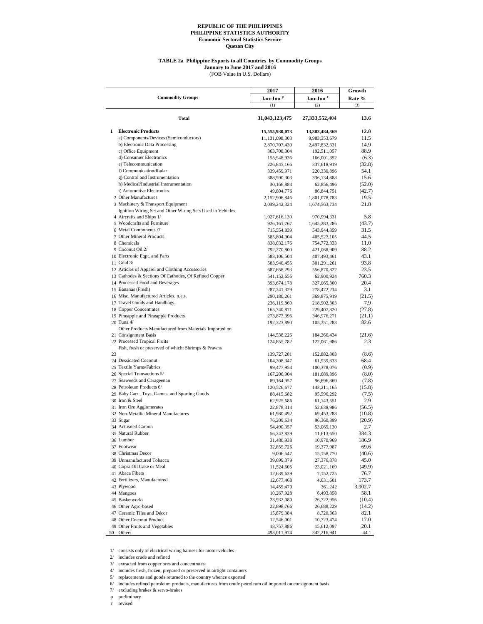#### **TABLE 2a Philippine Exports to all Countries by Commodity Groups**

(FOB Value in U.S. Dollars) **January to June 2017 and 2016**

|    |                                                                                         | 2017                     | 2016                    | Growth         |
|----|-----------------------------------------------------------------------------------------|--------------------------|-------------------------|----------------|
|    | <b>Commodity Groups</b>                                                                 | Jan-Jun <sup>p</sup>     | Jan-Jun <sup>r</sup>    | Rate %         |
|    |                                                                                         | (1)                      | (2)                     | (3)            |
|    | Total                                                                                   | 31,043,123,475           | 27,333,552,404          | 13.6           |
| 1  | <b>Electronic Products</b>                                                              | 15,555,930,073           | 13,883,484,369          | 12.0           |
|    | a) Components/Devices (Semiconductors)                                                  | 11,131,098,303           | 9,983,353,679           | 11.5           |
|    | b) Electronic Data Processing                                                           | 2,870,707,430            | 2,497,832,331           | 14.9           |
|    | c) Office Equipment                                                                     | 363,708,304              | 192,511,057             | 88.9           |
|    | d) Consumer Electronics                                                                 | 155,548,936              | 166,001,352             | (6.3)          |
|    | e) Telecommunication                                                                    | 226,845,166              | 337,618,919             | (32.8)         |
|    | f) Communication/Radar                                                                  | 339,459,971              | 220,330,896             | 54.1           |
|    | g) Control and Instrumentation                                                          | 388,590,303              | 336,134,888             | 15.6           |
|    | h) Medical/Industrial Instrumentation                                                   | 30,166,884               | 62,856,496              | (52.0)         |
|    | i) Automotive Electronics                                                               | 49,804,776               | 86, 844, 751            | (42.7)         |
|    | 2 Other Manufactures                                                                    | 2,152,906,846            | 1,801,078,783           | 19.5           |
|    | 3 Machinery & Transport Equipment                                                       | 2,039,242,324            | 1,674,563,734           | 21.8           |
|    | Ignition Wiring Set and Other Wiring Sets Used in Vehicles,<br>4 Aircrafts and Ships 1/ | 1,027,616,130            | 970,994,331             | 5.8            |
|    | 5 Woodcrafts and Furniture                                                              | 926, 161, 767            | 1,645,283,286           | (43.7)         |
|    | 6 Metal Components /7                                                                   | 715,554,839              | 543,944,859             | 31.5           |
|    | 7 Other Mineral Products                                                                | 585,804,904              | 405,527,105             | 44.5           |
|    | 8 Chemicals                                                                             | 838,032,176              | 754,772,333             | 11.0           |
|    | 9 Coconut Oil 2/                                                                        | 792,270,800              | 421,068,909             | 88.2           |
|    | 10 Electronic Eqpt. and Parts                                                           | 583,106,504              | 407,493,461             | 43.1           |
|    | 11 Gold 3/                                                                              | 583,940,455              | 301,291,261             | 93.8           |
|    | 12 Articles of Apparel and Clothing Accessories                                         | 687, 658, 293            | 556,870,822             | 23.5           |
|    | 13 Cathodes & Sections Of Cathodes, Of Refined Copper                                   | 541,152,656              | 62,900,924              | 760.3          |
|    | 14 Processed Food and Beverages                                                         | 393,674,178              | 327,065,300             | 20.4           |
|    | 15 Bananas (Fresh)                                                                      | 287, 241, 329            | 278,472,214             | 3.1            |
|    | 16 Misc. Manufactured Articles, n.e.s.                                                  | 290,180,261              | 369,875,919             | (21.5)         |
|    | 17 Travel Goods and Handbags                                                            | 236,119,860              | 218,902,303             | 7.9            |
|    | 18 Copper Concentrates                                                                  | 165,740,871              | 229,407,820             | (27.8)         |
|    | 19 Pineapple and Pineapple Products                                                     | 273,877,396              | 346,976,271             | (21.1)         |
|    | 20 Tuna 4/                                                                              | 192,323,890              | 105,351,283             | 82.6           |
|    | Other Products Manufactured from Materials Imported on                                  |                          |                         |                |
|    | 21 Consignment Basis                                                                    | 144,538,226              | 184,266,434             | (21.6)         |
|    | 22 Processed Tropical Fruits                                                            | 124,855,782              | 122,061,986             | 2.3            |
|    | Fish, fresh or preserved of which: Shrimps & Prawns                                     |                          |                         |                |
| 23 |                                                                                         | 139,727,281              | 152,882,803             | (8.6)          |
|    | 24 Dessicated Coconut                                                                   | 104,308,347              | 61,939,333              | 68.4           |
|    | 25 Textile Yarns/Fabrics                                                                | 99,477,954               | 100,378,076             | (0.9)          |
|    | 26 Special Transactions 5/                                                              | 167,206,904              | 181,689,396             | (8.0)          |
|    | 27 Seaweeds and Carageenan                                                              | 89,164,957               | 96,696,869              | (7.8)          |
|    | 28 Petroleum Products 6/                                                                | 120,526,677              | 143,211,165             | (15.8)         |
|    | 29 Baby Carr., Toys, Games, and Sporting Goods                                          | 88,415,682               | 95,596,292              | (7.5)          |
|    | 30 Iron & Steel                                                                         | 62,925,686               | 61,143,551              | 2.9            |
|    | 31 Iron Ore Agglomerates                                                                | 22,878,314               | 52,638,986              | (56.5)         |
|    | 32 Non-Metallic Mineral Manufactures                                                    | 61,980,492               | 69,453,288              | (10.8)         |
|    | 33 Sugar                                                                                | 76,209,634               | 96,360,899              | (20.9)         |
|    | 34 Activated Carbon                                                                     | 54,490,357               | 53,065,130              | 2.7            |
|    | 35 Natural Rubber                                                                       | 56,243,839               | 11,613,650              | 384.3          |
|    | 36 Lumber<br>37 Footwear                                                                | 31,480,938               | 10,970,969              | 186.9          |
|    | 38 Christmas Decor                                                                      | 32,855,726               | 19,377,987              | 69.6           |
|    | 39 Unmanufactured Tobacco                                                               | 9,006,547                | 15,158,770              | (40.6)<br>45.0 |
|    | 40 Copra Oil Cake or Meal                                                               | 39,699,379               | 27,376,878              |                |
|    | 41 Abaca Fibers                                                                         | 11,524,605<br>12,639,639 | 23,021,169<br>7,152,725 | (49.9)<br>76.7 |
|    | 42 Fertilizers, Manufactured                                                            |                          | 4,631,601               | 173.7          |
|    | 43 Plywood                                                                              | 12,677,468<br>14,459,470 | 361,242                 | 3,902.7        |
|    | 44 Mangoes                                                                              | 10,267,928               | 6,493,858               | 58.1           |
|    | 45 Basketworks                                                                          | 23,932,080               | 26,722,956              | (10.4)         |
|    | 46 Other Agro-based                                                                     | 22,898,766               | 26,688,229              | (14.2)         |
|    | 47 Ceramic Tiles and Décor                                                              | 15,879,384               | 8,720,363               | 82.1           |
|    | 48 Other Coconut Product                                                                | 12,546,001               | 10,723,474              | 17.0           |
|    | 49 Other Fruits and Vegetables                                                          | 18,757,886               | 15,612,097              | 20.1           |
|    | 50 Others                                                                               | 493,011,974              | 342,216,941             | 44.1           |

1/ consists only of electrical wiring harness for motor vehicles

2/ includes crude and refined

3/ extracted from copper ores and concentrates

4/ includes fresh, frozen, prepared or preserved in airtight containers 5/ replacements and goods returned to the country whence exported

6/ includes refined petroleum products, manufactures from crude petroleum oil imported on consignment basis

7/ excluding brakes & servo-brakes

p preliminary

r revised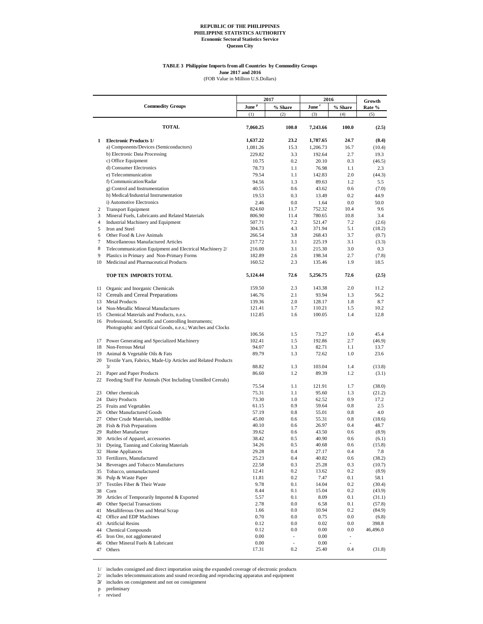#### **TABLE 3 Philippine Imports from all Countries by Commodity Groups June 2017 and 2016**

(FOB Value in Million U.S.Dollars)

|                |                                                                  |                   | 2017                     | 2016                                     |                          |                   |
|----------------|------------------------------------------------------------------|-------------------|--------------------------|------------------------------------------|--------------------------|-------------------|
|                | <b>Commodity Groups</b>                                          | June <sup>p</sup> | % Share                  | $\mathbf{June}$ $\overline{\phantom{a}}$ | % Share                  | Growth<br>Rate %  |
|                |                                                                  | (1)               | (2)                      | (3)                                      | (4)                      | (5)               |
|                | <b>TOTAL</b>                                                     | 7,060.25          | 100.0                    | 7,243.66                                 | 100.0                    | (2.5)             |
| 1              | <b>Electronic Products 1/</b>                                    | 1,637.22          | 23.2                     | 1,787.65                                 | 24.7                     | (8.4)             |
|                | a) Components/Devices (Semiconductors)                           | 1,081.26          | 15.3                     | 1,206.73                                 | 16.7                     | (10.4)            |
|                | b) Electronic Data Processing                                    | 229.82            | 3.3                      | 192.64                                   | 2.7                      | 19.3              |
|                | c) Office Equipment                                              | 10.75             | 0.2                      | 20.10                                    | 0.3                      | (46.5)            |
|                | d) Consumer Electronics                                          | 78.73             | 1.1                      | 76.98                                    | 1.1                      | 2.3               |
|                | e) Telecommunication                                             | 79.54             | 1.1                      | 142.83                                   | 2.0                      | (44.3)            |
|                | f) Communication/Radar                                           | 94.56             | 1.3                      | 89.63                                    | 1.2                      | 5.5               |
|                | g) Control and Instrumentation                                   | 40.55             | 0.6                      | 43.62                                    | 0.6                      | (7.0)             |
|                | h) Medical/Industrial Instrumentation                            | 19.53             | 0.3                      | 13.49                                    | 0.2                      | 44.9              |
|                | i) Automotive Electronics                                        | 2.46              | 0.0                      | 1.64                                     | 0.0                      | 50.0              |
| 2              | <b>Transport Equipment</b>                                       | 824.60            | 11.7                     | 752.32                                   | 10.4                     | 9.6               |
| 3              | Mineral Fuels, Lubricants and Related Materials                  | 806.90            | 11.4                     | 780.65                                   | 10.8                     | 3.4               |
| $\overline{4}$ | Industrial Machinery and Equipment                               | 507.71            | 7.2                      | 521.47                                   | 7.2                      | (2.6)             |
| 5<br>6         | Iron and Steel                                                   | 304.35            | 4.3<br>3.8               | 371.94                                   | 5.1<br>3.7               | (18.2)            |
| 7              | Other Food & Live Animals<br>Miscellaneous Manufactured Articles | 266.54<br>217.72  | 3.1                      | 268.43<br>225.19                         | 3.1                      | (0.7)<br>(3.3)    |
| 8              | Telecommunication Equipment and Electrical Machinery 2/          |                   | 3.1                      |                                          | 3.0                      | 0.3               |
| 9              | Plastics in Primary and Non-Primary Forms                        | 216.00<br>182.89  | 2.6                      | 215.30<br>198.34                         | 2.7                      | (7.8)             |
| 10             | Medicinal and Pharmaceutical Products                            | 160.52            | 2.3                      | 135.46                                   | 1.9                      | 18.5              |
|                | TOP TEN IMPORTS TOTAL                                            | 5,124.44          | 72.6                     | 5,256.75                                 | 72.6                     | (2.5)             |
|                |                                                                  |                   |                          |                                          |                          |                   |
| 11             | Organic and Inorganic Chemicals                                  | 159.50            | 2.3                      | 143.38                                   | 2.0                      | 11.2              |
| 12             | Cereals and Cereal Preparations                                  | 146.76            | 2.1                      | 93.94                                    | 1.3                      | 56.2              |
| 13             | <b>Metal Products</b>                                            | 139.36            | 2.0                      | 128.17                                   | 1.8                      | 8.7               |
| 14             | Non-Metallic Mineral Manufactures                                | 121.41            | 1.7                      | 110.21                                   | 1.5                      | 10.2              |
| 15             | Chemical Materials and Products, n.e.s.                          | 112.85            | 1.6                      | 100.05                                   | 1.4                      | 12.8              |
|                | 16 Professional, Scientific and Controlling Instruments;         |                   |                          |                                          |                          |                   |
|                | Photographic and Optical Goods, n.e.s.; Watches and Clocks       |                   |                          | 73.27                                    | 1.0                      |                   |
| 17             | Power Generating and Specialized Machinery                       | 106.56<br>102.41  | 1.5<br>1.5               | 192.86                                   | 2.7                      | 45.4<br>(46.9)    |
| 18             | Non-Ferrous Metal                                                | 94.07             | 1.3                      | 82.71                                    | 1.1                      | 13.7              |
| 19             | Animal & Vegetable Oils & Fats                                   | 89.79             | 1.3                      | 72.62                                    | 1.0                      | 23.6              |
| 20             | Textile Yarn, Fabrics, Made-Up Articles and Related Products     |                   |                          |                                          |                          |                   |
|                | 3/                                                               | 88.82             | 1.3                      | 103.04                                   | 1.4                      | (13.8)            |
| 21             | Paper and Paper Products                                         | 86.60             | 1.2                      | 89.39                                    | 1.2                      | (3.1)             |
|                | 22 Feeding Stuff For Animals (Not Including Unmilled Cereals)    |                   |                          |                                          |                          |                   |
|                |                                                                  | 75.54             | 1.1                      | 121.91                                   | 1.7                      | (38.0)            |
| 23             | Other chemicals                                                  | 75.31             | 1.1                      | 95.60                                    | 1.3                      | (21.2)            |
|                | 24 Dairy Products                                                | 73.30             | 1.0                      | 62.52                                    | 0.9                      | 17.2              |
| 25             | Fruits and Vegetables                                            | 61.15             | 0.9                      | 59.64                                    | 0.8                      | 2.5               |
| 26             | Other Manufactured Goods                                         | 57.19             | 0.8                      | 55.01                                    | 0.8                      | 4.0               |
| 27             | Other Crude Materials, inedible                                  | 45.00             | 0.6                      | 55.31                                    | 0.8                      | (18.6)            |
| 28<br>29       | Fish & Fish Preparations<br>Rubber Manufacture                   | 40.10<br>39.62    | 0.6<br>0.6               | 26.97<br>43.50                           | 0.4<br>0.6               | 48.7<br>(8.9)     |
|                | 30 Articles of Apparel, accessories                              | 38.42             | 0.5                      | 40.90                                    | 0.6                      | (6.1)             |
|                | 31 Dyeing, Tanning and Coloring Materials                        | 34.26             | 0.5                      | 40.68                                    | 0.6                      | (15.8)            |
|                | 32 Home Appliances                                               | 29.28             | 0.4                      | 27.17                                    | 0.4                      | 7.8               |
| 33             | Fertilizers, Manufactured                                        | 25.23             | 0.4                      | 40.82                                    | 0.6                      | (38.2)            |
| 34             | Beverages and Tobacco Manufactures                               | 22.58             | 0.3                      | 25.28                                    | 0.3                      | (10.7)            |
| 35             | Tobacco, unmanufactured                                          | 12.41             | 0.2                      | 13.62                                    | 0.2                      | (8.9)             |
| 36             | Pulp & Waste Paper                                               | 11.81             | 0.2                      | 7.47                                     | $0.1\,$                  | 58.1              |
| 37             | Textiles Fiber & Their Waste                                     | 9.78              | 0.1                      | 14.04                                    | 0.2                      | (30.4)            |
| 38             | Corn                                                             | 8.44              | 0.1                      | 15.04                                    | 0.2                      | (43.9)            |
| 39             | Articles of Temporarily Imported & Exported                      | 5.57              | 0.1                      | 8.09                                     | 0.1                      | (31.1)            |
| 40             | Other Special Transactions                                       | 2.78              | 0.0                      | 6.58                                     | $0.1\,$                  | (57.8)            |
| 41             | Metalliferous Ores and Metal Scrap                               | 1.66              | 0.0                      | 10.94                                    | 0.2                      | (84.9)            |
| 42             | Office and EDP Machines                                          | 0.70              | 0.0                      | 0.75                                     | 0.0                      | (6.8)             |
| 43<br>44       | <b>Artificial Resins</b><br><b>Chemical Compounds</b>            | 0.12<br>0.12      | 0.0<br>0.0               | 0.02<br>0.00                             | 0.0<br>0.0               | 398.8<br>46,496.0 |
| 45             | Iron Ore, not agglomerated                                       | 0.00              | $\overline{\phantom{a}}$ | 0.00                                     | $\overline{\phantom{a}}$ |                   |
| 46             | Other Mineral Fuels & Lubricant                                  | 0.00              | $\overline{\phantom{a}}$ | 0.00                                     | $\overline{\phantom{a}}$ |                   |
| 47             | Others                                                           | 17.31             | 0.2                      | 25.40                                    | 0.4                      | (31.8)            |

 $1/\;$  includes consigned and direct importation using the expanded coverage of electronic products

2/ includes telecommunications and sound recording and reproducing apparatus and equipment

3/ includes on consignment and not on consignment

p preliminary

r revised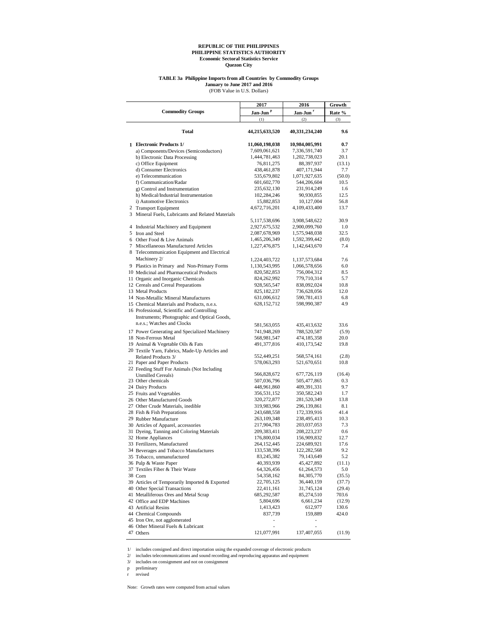#### **TABLE 3a Philippine Imports from all Countries by Commodity Groups January to June 2017 and 2016**

(FOB Value in U.S. Dollars)

|                                                   | 2017                 | 2016                 | Growth |
|---------------------------------------------------|----------------------|----------------------|--------|
| <b>Commodity Groups</b>                           | Jan-Jun <sup>p</sup> | Jan-Jun <sup>r</sup> | Rate % |
|                                                   | (1)                  | (2)                  | (3)    |
| Total                                             | 44,215,633,520       | 40,331,234,240       | 9.6    |
| 1 Electronic Products 1/                          | 11,060,198,038       | 10,984,005,991       | 0.7    |
| a) Components/Devices (Semiconductors)            | 7,609,061,621        | 7,336,591,740        | 3.7    |
| b) Electronic Data Processing                     | 1,444,781,463        | 1,202,738,023        | 20.1   |
| c) Office Equipment                               | 76,811,275           | 88,397,937           | (13.1) |
| d) Consumer Electronics                           | 438,461,878          | 407,171,944          | 7.7    |
| e) Telecommunication                              | 535,679,802          | 1,071,927,635        | (50.0) |
| f) Communication/Radar                            | 601,602,770          | 544,206,604          | 10.5   |
| g) Control and Instrumentation                    | 235,632,130          | 231,914,249          | 1.6    |
| h) Medical/Industrial Instrumentation             | 102,284,246          | 90,930,855           | 12.5   |
| i) Automotive Electronics                         | 15,882,853           | 10,127,004           | 56.8   |
| 2 Transport Equipment                             | 4,672,716,201        | 4,109,433,400        | 13.7   |
| 3 Mineral Fuels, Lubricants and Related Materials |                      |                      |        |
|                                                   | 5,117,538,696        | 3,908,548,622        | 30.9   |
| 4 Industrial Machinery and Equipment              | 2,927,675,532        | 2,900,099,760        | 1.0    |
| 5 Iron and Steel                                  | 2,087,678,969        | 1,575,948,038        | 32.5   |
| 6 Other Food & Live Animals                       | 1,465,206,349        | 1,592,399,442        | (8.0)  |
| 7 Miscellaneous Manufactured Articles             | 1,227,476,875        | 1,142,643,670        | 7.4    |
| 8 Telecommunication Equipment and Electrical      |                      |                      |        |
| Machinery 2/                                      | 1,224,403,722        | 1,137,573,684        | 7.6    |
| 9 Plastics in Primary and Non-Primary Forms       | 1,130,543,995        | 1,066,578,656        | 6.0    |
| 10 Medicinal and Pharmaceutical Products          | 820, 582, 853        | 756,004,312          | 8.5    |
| 11 Organic and Inorganic Chemicals                | 824,262,992          | 779,710,314          | 5.7    |
| 12 Cereals and Cereal Preparations                | 928,565,547          | 838,092,024          | 10.8   |
| 13 Metal Products                                 | 825, 182, 237        | 736,628,056          | 12.0   |
| 14 Non-Metallic Mineral Manufactures              | 631,006,612          | 590,781,413          | 6.8    |
| 15 Chemical Materials and Products, n.e.s.        | 628, 152, 712        | 598,990,387          | 4.9    |
| 16 Professional, Scientific and Controlling       |                      |                      |        |
| Instruments; Photographic and Optical Goods,      |                      |                      |        |
| n.e.s.; Watches and Clocks                        | 581,563,055          | 435,413,632          | 33.6   |
| 17 Power Generating and Specialized Machinery     | 741,948,269          | 788,520,587          | (5.9)  |
| 18 Non-Ferrous Metal                              | 568,981,547          | 474,185,358          | 20.0   |
| 19 Animal & Vegetable Oils & Fats                 | 491,377,816          | 410,173,542          | 19.8   |
| 20 Textile Yarn, Fabrics, Made-Up Articles and    |                      |                      |        |
| Related Products 3/                               | 552,449,251          | 568,574,161          | (2.8)  |
| 21 Paper and Paper Products                       | 578,063,293          | 521,670,651          | 10.8   |
| 22 Feeding Stuff For Animals (Not Including       | 566,828,672          | 677,726,119          | (16.4) |
| Unmilled Cereals)<br>23 Other chemicals           | 507,036,796          | 505,477,865          | 0.3    |
| 24 Dairy Products                                 | 448,961,860          | 409,391,331          | 9.7    |
| 25 Fruits and Vegetables                          | 356,531,152          | 350,582,243          | 1.7    |
| 26 Other Manufactured Goods                       | 320, 272, 877        | 281,520,349          | 13.8   |
| 27 Other Crude Materials, inedible                | 319,983,966          | 296,139,861          | 8.1    |
| 28 Fish & Fish Preparations                       | 243,688,558          | 172,339,916          | 41.4   |
| 29 Rubber Manufacture                             | 263, 109, 348        | 238,495,413          | 10.3   |
| 30 Articles of Apparel, accessories               | 217,904,783          | 203,037,053          | 7.3    |
| 31 Dyeing, Tanning and Coloring Materials         | 209,383,411          | 208,223,237          | 0.6    |
| 32 Home Appliances                                | 176,800,034          | 156,909,832          | 12.7   |
| 33 Fertilizers, Manufactured                      | 264,152,445          | 224,689,921          | 17.6   |
| 34 Beverages and Tobacco Manufactures             | 133,538,396          | 122,282,568          | 9.2    |
| 35 Tobacco, unmanufactured                        | 83,245,382           | 79,143,649           | 5.2    |
| 36 Pulp & Waste Paper                             | 40,393,939           | 45,427,892           | (11.1) |
| 37 Textiles Fiber & Their Waste                   | 64,326,456           | 61,264,573           | 5.0    |
| 38 Corn                                           | 54,358,162           | 84,305,770           | (35.5) |
| 39 Articles of Temporarily Imported & Exported    | 22,705,125           | 36,440,159           | (37.7) |
| 40 Other Special Transactions                     | 22,411,161           | 31,745,124           | (29.4) |
| 41 Metalliferous Ores and Metal Scrap             | 685,292,587          | 85,274,510           | 703.6  |
| 42 Office and EDP Machines                        | 5,804,696            | 6,661,234            | (12.9) |
| 43 Artificial Resins                              | 1,413,423            | 612,977              | 130.6  |
| 44 Chemical Compounds                             | 837,739              | 159,889              | 424.0  |
| 45 Iron Ore, not agglomerated                     |                      |                      |        |
| 46 Other Mineral Fuels & Lubricant                | ÷,                   | ×,                   |        |
| 47 Others                                         | 121,077,991          | 137,407,055          | (11.9) |

1/ includes consigned and direct importation using the expanded coverage of electronic products

2/ includes telecommunications and sound recording and reproducing apparatus and equipment

3/ includes on consignment and not on consignment

p preliminary

r revised

Note: Growth rates were computed from actual values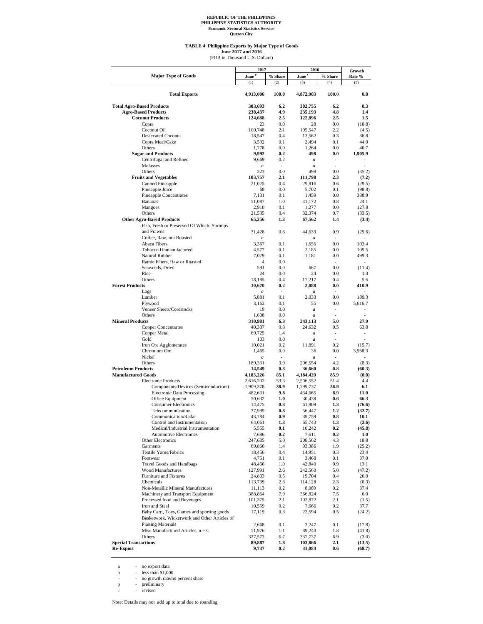#### **TABLE 4 Philippine Exports by Major Type of Goods**

(FOB in Thousand U.S. Dollars) **June 2017 and 2016**

|                                                                   | 2017                      |                          | 2016                                 |                | Growth          |  |
|-------------------------------------------------------------------|---------------------------|--------------------------|--------------------------------------|----------------|-----------------|--|
| <b>Major Type of Goods</b>                                        | June <sup>p</sup>         | % Share                  | June <sup>r</sup>                    | % Share        | Rate %          |  |
|                                                                   | (1)                       | (2)                      | (3)                                  | (4)            | (5)             |  |
| <b>Total Exports</b>                                              | 4,913,006                 | 100.0                    | 4,872,903                            | 100.0          | 0.8             |  |
|                                                                   |                           |                          |                                      |                |                 |  |
| <b>Total Agro-Based Products</b>                                  | 303,693                   | 6.2                      | 302,755                              | 6.2            | 0.3             |  |
| <b>Agro-Based Products</b><br><b>Coconut Products</b>             | 238,437                   | 4.9<br>2.5               | 235,193                              | 4.8<br>2.5     | 1.4<br>1.5      |  |
| Copra                                                             | 124,688<br>23             | 0.0                      | 122,896<br>28                        | 0.0            | (18.8)          |  |
| Coconut Oil                                                       | 100,748                   | 2.1                      | 105,547                              | 2.2            | (4.5)           |  |
| <b>Desiccated Coconut</b>                                         | 18,547                    | 0.4                      | 13,562                               | 0.3            | 36.8            |  |
| Copra Meal/Cake                                                   | 3,592                     | 0.1                      | 2,494                                | 0.1            | 44.0            |  |
| Others                                                            | 1,778                     | 0.0                      | 1.264                                | 0.0            | 40.7            |  |
| <b>Sugar and Products</b>                                         | 9,992                     | 0.2                      | 498                                  | $_{0.0}$       | 1,905.9         |  |
| Centrifugal and Refined<br>Molasses                               | 9,669<br>$\boldsymbol{a}$ | 0.2<br>$\sim$            | $\boldsymbol{a}$<br>$\boldsymbol{a}$ | $\overline{a}$ | ÷               |  |
| Others                                                            | 323                       | 0.0                      | 498                                  | 0.0            | (35.2)          |  |
| <b>Fruits and Vegetables</b>                                      | 103,757                   | 2.1                      | 111,798                              | 2.3            | (7.2)           |  |
| <b>Canned Pineapple</b>                                           | 21,025                    | 0.4                      | 29,816                               | 0.6            | (29.5)          |  |
| Pineapple Juice                                                   | 68                        | 0.0                      | 5,702                                | 0.1            | (98.8)          |  |
| <b>Pineapple Concentrates</b>                                     | 7,131                     | 0.1                      | 1,459                                | 0.0            | 388.9           |  |
| <b>Bananas</b>                                                    | 51,087                    | 1.0                      | 41,172                               | 0.8            | 24.1            |  |
| Mangoes<br>Others                                                 | 2,910<br>21,535           | 0.1<br>0.4               | 1,277<br>32,374                      | 0.0<br>0.7     | 127.8<br>(33.5) |  |
| <b>Other Agro-Based Products</b>                                  | 65,256                    | 1.3                      | 67,562                               | 1.4            | (3.4)           |  |
| Fish, Fresh or Preserved Of Which: Shrimps                        |                           |                          |                                      |                |                 |  |
| and Prawns                                                        | 31,428                    | 0.6                      | 44,633                               | 0.9            | (29.6)          |  |
| Coffee, Raw, not Roasted                                          | $\boldsymbol{a}$          | $\overline{a}$           | $\overline{a}$                       | ÷.             |                 |  |
| Abaca Fibers                                                      | 3,367                     | 0.1                      | 1,656                                | 0.0            | 103.4           |  |
| Tobacco Unmanufactured                                            | 4,577                     | 0.1                      | 2,185                                | 0.0            | 109.5           |  |
| Natural Rubber                                                    | 7,079                     | 0.1                      | 1,181                                | 0.0            | 499.3           |  |
| Ramie Fibers, Raw or Roasted                                      | 4                         | 0.0                      |                                      | ÷.             |                 |  |
| Seaweeds, Dried<br>Rice                                           | 591<br>24                 | 0.0<br>0.0               | 667<br>24                            | 0.0<br>0.0     | (11.4)<br>1.3   |  |
| Others                                                            | 18,185                    | 0.4                      | 17,217                               | 0.4            | 5.6             |  |
| <b>Forest Products</b>                                            | 10,670                    | 0.2                      | 2,088                                | 0.0            | 410.9           |  |
| Logs                                                              | $\boldsymbol{a}$          | $\overline{a}$           | $\boldsymbol{a}$                     |                |                 |  |
| Lumber                                                            | 5,881                     | 0.1                      | 2,033                                | 0.0            | 189.3           |  |
| Plywood                                                           | 3,162                     | 0.1                      | 55                                   | 0.0            | 5,616.7         |  |
| Veneer Sheets/Corestocks                                          | 19                        | 0.0                      | $\boldsymbol{a}$                     | ٠              | ÷               |  |
| Others                                                            | 1,608                     | 0.0                      | $\boldsymbol{a}$                     |                |                 |  |
| <b>Mineral Products</b><br><b>Copper Concentrates</b>             | 310,981<br>40,337         | 6.3<br>0.8               | 243,113<br>24,632                    | 5.0<br>0.5     | 27.9<br>63.8    |  |
| Copper Metal                                                      | 69,725                    | 1.4                      | $\boldsymbol{a}$                     | ٠              | ÷               |  |
| Gold                                                              | 103                       | 0.0                      | $\boldsymbol{a}$                     |                |                 |  |
| Iron Ore Agglomerates                                             | 10,021                    | 0.2                      | 11,891                               | 0.2            | (15.7)          |  |
| Chromium Ore                                                      | 1,465                     | 0.0                      | 36                                   | 0.0            | 3,968.3         |  |
| Nickel                                                            | $\boldsymbol{a}$          | $\overline{\phantom{a}}$ | $\boldsymbol{a}$                     | ٠              |                 |  |
| Others                                                            | 189,331                   | 3.9                      | 206,554                              | 4.2            | (8.3)           |  |
| <b>Petroleum Products</b><br><b>Manufactured Goods</b>            | 14,549                    | 0.3<br>85.1              | 36,660                               | 0.8<br>85.9    | (60.3)<br>(0.0) |  |
| <b>Electronic Products</b>                                        | 4,183,226<br>2,616,202    | 53.3                     | 4,184,420<br>2,506,552               | 51.4           | 4.4             |  |
| Components/Devices (Semiconductors)                               | 1,909,378                 | 38.9                     | 1,799,737                            | 36.9           | 6.1             |  |
| <b>Electronic Data Processing</b>                                 | 482,631                   | 9.8                      | 434,665                              | 8.9            | 11.0            |  |
| Office Equipment                                                  | 50,632                    | 1.0                      | 30,438                               | 0.6            | 66.3            |  |
| <b>Consumer Electronics</b>                                       | 14,475                    | 0.3                      | 61,909                               | 1.3            | (76.6)          |  |
| Telecommunication                                                 | 37,999                    | 0.8                      | 56,447                               | $1.2\,$        | (32.7)          |  |
| Communication/Radar                                               | 43,784                    | 0.9                      | 39,759                               | 0.8            | 10.1            |  |
| Control and Instrumentation<br>Medical/Industrial Instrumentation | 64,061<br>5,555           | 1.3<br>0.1               | 65,743<br>10,242                     | 1.3<br>0.2     | (2.6)<br>(45.8) |  |
| <b>Automotive Electronics</b>                                     | 7,686                     | 0.2                      | 7,611                                | 0.2            | 1.0             |  |
| <b>Other Electronics</b>                                          | 247,685                   | 5.0                      | 208,562                              | 4.3            | 18.8            |  |
| Garments                                                          | 69,866                    | 1.4                      | 93,386                               | 1.9            | (25.2)          |  |
| Textile Yarns/Fabrics                                             | 18,456                    | 0.4                      | 14,951                               | 0.3            | 23.4            |  |
| Footwear                                                          | 4,751                     | 0.1                      | 3,468                                | 0.1            | 37.0            |  |
| Travel Goods and Handbags                                         | 48,456                    | 1.0                      | 42,840                               | 0.9            | 13.1            |  |
| <b>Wood Manufactures</b><br>Furniture and Fixtures                | 127,991                   | 2.6                      | 242,560                              | 5.0            | (47.2)          |  |
| Chemicals                                                         | 24,833<br>113,739         | 0.5<br>2.3               | 19,704<br>114,128                    | 0.4<br>2.3     | 26.0<br>(0.3)   |  |
| Non-Metallic Mineral Manufactures                                 | 11,113                    | 0.2                      | 8,089                                | 0.2            | 37.4            |  |
| Machinery and Transport Equipment                                 | 388,864                   | 7.9                      | 366,824                              | 7.5            | 6.0             |  |
| Processed food and Beverages                                      | 101,375                   | 2.1                      | 102,872                              | 2.1            | (1.5)           |  |
| Iron and Steel                                                    | 10,559                    | 0.2                      | 7,666                                | 0.2            | 37.7            |  |
| Baby Carr., Toys, Games and sporting goods                        | 17,119                    | 0.3                      | 22,594                               | $0.5\,$        | (24.2)          |  |
| Basketwork, Wickerwork and Other Articles of                      |                           |                          |                                      |                |                 |  |
| <b>Plaiting Materials</b>                                         | 2,668                     | 0.1                      | 3,247                                | 0.1            | (17.8)          |  |
| Misc.Manufactured Articles, n.e.s.<br>Others                      | 51,976                    | 1.1                      | 89,240                               | 1.8            | (41.8)          |  |
| <b>Special Transactions</b>                                       | 327,573<br>89,887         | 6.7<br>1.8               | 337,737<br>103,866                   | 6.9<br>2.1     | (3.0)<br>(13.5) |  |
| <b>Re-Export</b>                                                  | 9,737                     | 0.2                      | 31,084                               | $0.6\,$        | (68.7)          |  |

a - no export data<br>
b - less than \$1,000<br>
- no growth rate/no percent share<br>
p - preliminary<br>
r - revised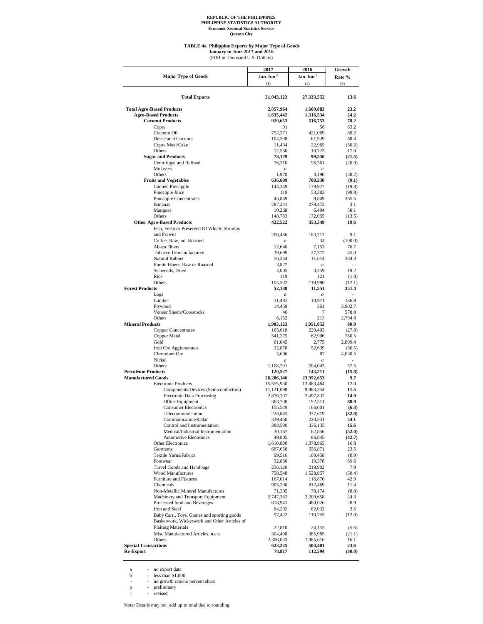#### **TABLE 4a Philippine Exports by Major Type of Goods**

(FOB in Thousand U.S. Dollars) **January to June 2017 and 2016**

|                                                 | 2017                       | 2016                       | Growth          |
|-------------------------------------------------|----------------------------|----------------------------|-----------------|
| <b>Major Type of Goods</b>                      | Jan-Jun <sup>p</sup>       | Jan-Jun <sup>r</sup>       | Rate %          |
|                                                 | (1)                        | (2)                        | (3)             |
|                                                 |                            |                            |                 |
| <b>Total Exports</b>                            | 31,043,123                 | 27,333,552                 | 13.6            |
| <b>Total Agro-Based Products</b>                | 2,057,964                  | 1,669,883                  | 23.2            |
| <b>Agro-Based Products</b>                      | 1,635,442                  | 1,316,534                  | 24.2            |
| <b>Coconut Products</b>                         | 920,653                    | 516,753                    | 78.2            |
| Copra                                           | 91                         | 56                         | 63.2            |
| Coconut Oil                                     | 792,271                    | 421,069                    | 88.2            |
| <b>Desiccated Coconut</b>                       | 104,308                    | 61,939                     | 68.4            |
| Copra Meal/Cake                                 | 11,434                     | 22,965                     | (50.2)          |
| Others                                          | 12,550                     | 10,723                     | 17.0            |
| <b>Sugar and Products</b>                       | 78,179<br>76,210           | 99,550<br>96,361           | (21.5)          |
| Centrifugal and Refined<br>Molasses             |                            |                            | (20.9)          |
| Others                                          | $\boldsymbol{a}$<br>1,970  | $\boldsymbol{a}$<br>3,190  | (38.2)          |
| <b>Fruits and Vegetables</b>                    | 636,609                    | 700,230                    | (9.1)           |
| Canned Pineapple                                | 144,349                    | 179,977                    | (19.8)          |
| Pineapple Juice                                 | 119                        | 53,383                     | (99.8)          |
| Pineapple Concentrates                          | 45,849                     | 9,849                      | 365.5           |
| Bananas                                         | 287,241                    | 278,472                    | 3.1             |
| Mangoes                                         | 10,268                     | 6,494                      | 58.1            |
| Others                                          | 148,783                    | 172,055                    | (13.5)          |
| <b>Other Agro-Based Products</b>                | 422,522                    | 353,349                    | 19.6            |
| Fish, Fresh or Preserved Of Which: Shrimps      |                            |                            |                 |
| and Prawns                                      | 200,486                    | 183,712                    | 9.1             |
| Coffee, Raw, not Roasted                        | $\boldsymbol{a}$           | 34                         | (100.0)         |
| Abaca Fibers                                    | 12,640                     | 7,153                      | 76.7            |
| Tobacco Unmanufactured                          | 39,699                     | 27,377                     | 45.0            |
| Natural Rubber                                  | 56,244                     | 11,614                     | 384.3           |
| Ramie Fibers, Raw or Roasted                    | 3,827                      | $\boldsymbol{a}$           | ٠               |
| Seaweeds, Dried                                 | 4,005                      | 3,359                      | 19.2            |
| Rice                                            | 119                        | 121                        | (1.8)           |
| Others                                          | 105,502                    | 119,980                    | (12.1)          |
| <b>Forest Products</b><br>Logs                  | 52,138<br>$\boldsymbol{a}$ | 11,551<br>$\boldsymbol{a}$ | 351.4           |
| Lumber                                          | 31,481                     | 10,971                     | 186.9           |
| Plywood                                         | 14,459                     | 361                        | 3,902.7         |
| Veneer Sheets/Corestocks                        | 46                         | 7                          | 578.8           |
| Others                                          | 6,152                      | 213                        | 2,794.8         |
| <b>Mineral Products</b>                         | 1,903,123                  | 1,051,853                  | 80.9            |
| <b>Copper Concentrates</b>                      | 165,618                    | 229,403                    | (27.8)          |
| Copper Metal                                    | 541,275                    | 62,906                     | 760.5           |
| Gold                                            | 61,045                     | 2,775                      | 2,099.4         |
| Iron Ore Agglomerates                           | 22,878                     | 52,639                     | (56.5)          |
| Chromium Ore                                    | 3,606                      | 87                         | 4,030.5         |
| Nickel                                          | $\boldsymbol{a}$           | $\boldsymbol{a}$           |                 |
| Others                                          | 1,108,701                  | 704,043                    | 57.5            |
| <b>Petroleum Products</b>                       | 120,527                    | 143,211                    | (15.8)          |
| <b>Manufactured Goods</b>                       | 26,286,146                 | 23,952,653                 | 9.7             |
| <b>Electronic Products</b>                      | 15,555,930                 | 13,883,484                 | 12.0            |
| Components/Devices (Semiconductors)             | 11,131,098                 | 9,983,354                  | 11.5            |
| <b>Electronic Data Processing</b>               | 2,870,707                  | 2,497,832                  | 14.9            |
| Office Equipment<br><b>Consumer Electronics</b> | 363,708<br>155,549         | 192,511<br>166,001         | 88.9            |
| Telecommunication                               | 226,845                    | 337,619                    | (6.3)<br>(32.8) |
| Communication/Radar                             | 339,460                    | 220,331                    | 54.1            |
| Control and Instrumentation                     | 388,590                    | 336,135                    | 15.6            |
| Medical/Industrial Instrumentation              | 30,167                     | 62,856                     | (52.0)          |
| <b>Automotive Electronics</b>                   | 49,805                     | 86,845                     | (42.7)          |
| Other Electronics                               | 1,610,800                  | 1,378,965                  | 16.8            |
| Garments                                        | 687,658                    | 556,871                    | 23.5            |
| Textile Yarns/Fabrics                           | 99,516                     | 100,458                    | (0.9)           |
| Footwear                                        | 32,856                     | 19,378                     | 69.6            |
| Travel Goods and Handbags                       | 236,120                    | 218,902                    | 7.9             |
| <b>Wood Manufactures</b>                        | 758,548                    | 1,528,857                  | (50.4)          |
| Furniture and Fixtures                          | 167,014                    | 116,870                    | 42.9            |
| Chemicals                                       | 905,200                    | 812,469                    | 11.4            |
| Non-Metallic Mineral Manufactures               | 71,305                     | 78,174                     | (8.8)           |
| Machinery and Transport Equipment               | 2,747,382                  | 2,209,658                  | 24.3            |
| Processed food and Beverages                    | 618,941                    | 480,026                    | 28.9            |
| Iron and Steel                                  | 64,202                     | 62,032                     | 3.5             |
| Baby Carr., Toys, Games and sporting goods      | 97,422                     | 110,755                    | (12.0)          |
| Basketwork, Wickerwork and Other Articles of    |                            |                            |                 |
| <b>Plaiting Materials</b>                       | 22,810                     | 24,153                     | (5.6)           |
| Misc.Manufactured Articles, n.e.s.              | 304,408                    | 385,985                    | (21.1)          |
| Others                                          | 2,306,033                  | 1,985,616                  | 16.1            |
| <b>Special Transactions</b>                     | 623,225                    | 504,401                    | 23.6            |
| <b>Re-Export</b>                                | 78,817                     | 112,594                    | (30.0)          |

a - no export data<br>
b - less than \$1,000<br>
- no growth rate/no percent share<br>
p - preliminary<br>
r - revised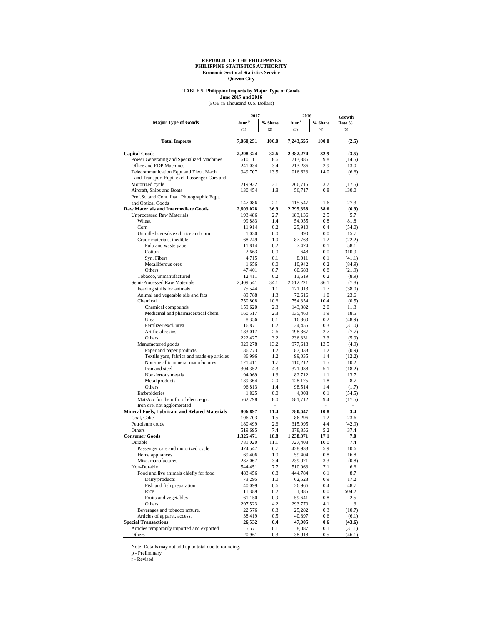# **TABLE 5 Philippine Imports by Major Type of Goods**

**June 2017 and 2016**<br>(FOB in Thousand U.S. Dollars)

|                                                                        | 2017              |             | 2016                         | Growth      |                 |
|------------------------------------------------------------------------|-------------------|-------------|------------------------------|-------------|-----------------|
| <b>Major Type of Goods</b>                                             | June <sup>p</sup> | % Share     | $\mathbf{June}$ $\mathbf{r}$ | % Share     | Rate %          |
|                                                                        | (1)               | (2)         | (3)                          | (4)         | (5)             |
| <b>Total Imports</b>                                                   | 7,060,251         | 100.0       | 7,243,655                    | 100.0       | (2.5)           |
| <b>Capital Goods</b>                                                   | 2,298,324         | 32.6        | 2,382,274                    | 32.9        | (3.5)           |
| Power Generating and Specialized Machines                              | 610,111           | 8.6         | 713,386                      | 9.8         | (14.5)          |
| Office and EDP Machines                                                | 241,034           | 3.4         | 213,286                      | 2.9         | 13.0            |
| Telecommunication Eqpt.and Elect. Mach.                                | 949,707           | 13.5        | 1,016,623                    | 14.0        | (6.6)           |
| Land Transport Eqpt. excl. Passenger Cars and                          |                   |             |                              |             |                 |
| Motorized cycle                                                        | 219,932           | 3.1         | 266,715                      | 3.7         | (17.5)          |
| Aircraft, Ships and Boats                                              | 130,454           | 1.8         | 56,717                       | 0.8         | 130.0           |
| Prof.Sci.and Cont. Inst., Photographic Eqpt.                           |                   |             |                              |             |                 |
| and Optical Goods                                                      | 147,086           | 2.1         | 115,547                      | 1.6         | 27.3            |
| <b>Raw Materials and Intermediate Goods</b>                            | 2,603,028         | 36.9        | 2,795,358                    | 38.6        | (6.9)           |
| <b>Unprocessed Raw Materials</b>                                       | 193,486           | 2.7         | 183,136                      | 2.5         | 5.7             |
| Wheat                                                                  | 99,883            | 1.4         | 54,955                       | 0.8         | 81.8            |
| Corn                                                                   | 11,914            | 0.2         | 25,910                       | 0.4         | (54.0)          |
| Unmilled cereals excl. rice and corn                                   | 1,030             | 0.0         | 890                          | 0.0         | 15.7            |
| Crude materials, inedible                                              | 68,249            | 1.0         | 87,763                       | 1.2         | (22.2)          |
| Pulp and waste paper                                                   | 11,814            | 0.2         | 7,474                        | 0.1         | 58.1            |
| Cotton                                                                 | 2,663             | 0.0         | 648                          | 0.0         | 310.9           |
| Syn. Fibers                                                            | 4,715             | 0.1         | 8,011                        | 0.1         | (41.1)          |
| Metalliferous ores                                                     | 1,656             | 0.0         | 10,942                       | 0.2         | (84.9)          |
| Others                                                                 | 47,401            | 0.7         | 60,688                       | 0.8         | (21.9)          |
| Tobacco, unmanufactured                                                | 12,411            | 0.2         | 13,619                       | 0.2         | (8.9)           |
| Semi-Processed Raw Materials                                           | 2,409,541         | 34.1        | 2,612,221                    | 36.1        | (7.8)           |
| Feeding stuffs for animals                                             | 75,544            | 1.1         | 121,913                      | 1.7         | (38.0)          |
| Animal and vegetable oils and fats                                     | 89,788            | 1.3         | 72,616                       | 1.0         | 23.6            |
| Chemical                                                               | 750,808           | 10.6        | 754,354                      | 10.4        | (0.5)           |
| Chemical compounds                                                     | 159,620           | 2.3         | 143,382                      | 2.0         | 11.3            |
| Medicinal and pharmaceutical chem.                                     | 160,517           | 2.3         | 135,460                      | 1.9         | 18.5            |
| Urea                                                                   | 8,356             | 0.1         | 16,360                       | 0.2         | (48.9)          |
| Fertilizer excl. urea                                                  | 16,871            | 0.2         | 24,455                       | 0.3         | (31.0)          |
| Artificial resins                                                      | 183,017           | 2.6         | 198,367                      | 2.7         | (7.7)           |
| Others                                                                 | 222,427           | 3.2<br>13.2 | 236,331                      | 3.3<br>13.5 | (5.9)           |
| Manufactured goods                                                     | 929,278           | 1.2         | 977,618                      | 1.2         | (4.9)           |
| Paper and paper products<br>Textile yarn, fabrics and made-up articles | 86,273<br>86,996  | 1.2         | 87,033<br>99,035             | 1.4         | (0.9)<br>(12.2) |
| Non-metallic mineral manufactures                                      | 121,411           | 1.7         | 110,212                      | 1.5         | 10.2            |
| Iron and steel                                                         | 304,352           | 4.3         | 371,938                      | 5.1         | (18.2)          |
| Non-ferrous metals                                                     | 94,069            | 1.3         | 82,712                       | 1.1         | 13.7            |
| Metal products                                                         | 139,364           | 2.0         | 128,175                      | 1.8         | 8.7             |
| Others                                                                 | 96,813            | 1.4         | 98,514                       | 1.4         | (1.7)           |
| Embroideries                                                           | 1,825             | 0.0         | 4,008                        | 0.1         | (54.5)          |
| Mat/Acc for the mftr. of elect. eqpt.                                  | 562,298           | 8.0         | 681,712                      | 9.4         | (17.5)          |
| Iron ore, not agglomerated                                             |                   | ÷.          |                              | ٠           | ÷,              |
| <b>Mineral Fuels, Lubricant and Related Materials</b>                  | 806,897           | 11.4        | 780,647                      | 10.8        | 3.4             |
| Coal, Coke                                                             | 106,703           | 1.5         | 86,296                       | 1.2         | 23.6            |
| Petroleum crude                                                        | 180,499           | 2.6         | 315,995                      | 4.4         | (42.9)          |
| Others                                                                 | 519,695           | 7.4         | 378,356                      | 5.2         | 37.4            |
| <b>Consumer Goods</b>                                                  | 1,325,471         | 18.8        | 1,238,371                    | 17.1        | 7.0             |
| Durable                                                                | 781,020           | 11.1        | 727,408                      | 10.0        | 7.4             |
| Passenger cars and motorized cycle                                     | 474,547           | 6.7         | 428,933                      | 5.9         | 10.6            |
| Home appliances                                                        | 69,406            | 1.0         | 59,404                       | 0.8         | 16.8            |
| Misc. manufactures                                                     | 237,067           | 3.4         | 239,071                      | 3.3         | (0.8)           |
| Non-Durable                                                            | 544,451           | 7.7         | 510,963                      | 7.1         | 6.6             |
| Food and live animals chiefly for food                                 | 483,456           | 6.8         | 444,784                      | 6.1         | 8.7             |
| Dairy products                                                         | 73,295            | 1.0         | 62,523                       | 0.9         | 17.2            |
| Fish and fish preparation                                              | 40,099            | 0.6         | 26,966                       | 0.4         | 48.7            |
| Rice                                                                   | 11,389            | 0.2         | 1,885                        | 0.0         | 504.2           |
| Fruits and vegetables                                                  | 61,150            | 0.9         | 59,641                       | 0.8         | 2.5             |
| Others                                                                 | 297,523           | 4.2         | 293,770                      | 4.1         | 1.3             |
| Beverages and tobacco mfture.                                          | 22,576            | 0.3         | 25,282                       | 0.3         | (10.7)          |
| Articles of apparel, access.                                           | 38,419            | 0.5         | 40,897                       | 0.6         | (6.1)           |
| <b>Special Transactions</b>                                            | 26,532            | $0.4\,$     | 47,005                       | $0.6\,$     | (43.6)          |
| Articles temporarily imported and exported                             | 5,571             | 0.1         | 8,087                        | 0.1         | (31.1)          |
| Others                                                                 | 20,961            | 0.3         | 38,918                       | 0.5         | (46.1)          |

Note: Details may not add up to total due to rounding.

p - Preliminary r - Revised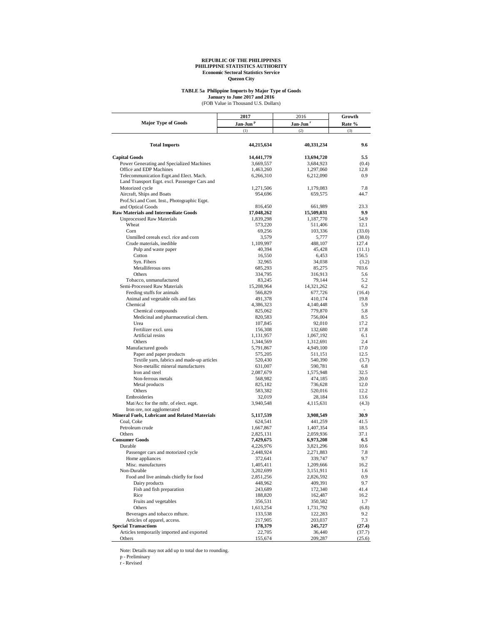## **TABLE 5a Philippine Imports by Major Type of Goods**

(FOB Value in Thousand U.S. Dollars) **January to June 2017 and 2016**

|                                                       | 2017                 | 2016                 | Growth<br>Rate % |  |
|-------------------------------------------------------|----------------------|----------------------|------------------|--|
| <b>Major Type of Goods</b>                            | Jan-Jun <sup>p</sup> | Jan-Jun <sup>r</sup> |                  |  |
|                                                       | (1)                  | (2)                  | (3)              |  |
| <b>Total Imports</b>                                  | 44,215,634           | 40,331,234           | 9.6              |  |
| <b>Capital Goods</b>                                  | 14,441,779           | 13,694,720           | 5.5              |  |
| Power Generating and Specialized Machines             | 3,669,557            | 3,684,923            | (0.4)            |  |
| Office and EDP Machines                               | 1,463,260            | 1,297,060            | 12.8             |  |
| Telecommunication Eqpt.and Elect. Mach.               | 6,266,310            | 6,212,090            | 0.9              |  |
| Land Transport Eqpt. excl. Passenger Cars and         |                      |                      |                  |  |
| Motorized cycle                                       | 1,271,506            | 1,179,083            | 7.8              |  |
| Aircraft, Ships and Boats                             | 954,696              | 659,575              | 44.7             |  |
| Prof.Sci.and Cont. Inst., Photographic Eqpt.          |                      |                      |                  |  |
| and Optical Goods                                     | 816,450              | 661,989              | 23.3             |  |
| <b>Raw Materials and Intermediate Goods</b>           | 17,048,262           | 15,509,031           | 9.9              |  |
| <b>Unprocessed Raw Materials</b>                      | 1,839,298            | 1,187,770            | 54.9             |  |
| Wheat                                                 | 573,220              | 511,406              | 12.1             |  |
| Corn                                                  | 69,256               | 103,336              | (33.0)           |  |
| Unmilled cereals excl. rice and corn                  | 3,579                | 5,777                | (38.0)           |  |
| Crude materials, inedible                             | 1,109,997            | 488,107              | 127.4            |  |
| Pulp and waste paper<br>Cotton                        | 40,394               | 45,428               | (11.1)<br>156.5  |  |
| Syn. Fibers                                           | 16,550<br>32,965     | 6,453<br>34,038      | (3.2)            |  |
| Metalliferous ores                                    | 685,293              | 85,275               | 703.6            |  |
| Others                                                | 334,795              | 316,913              | 5.6              |  |
| Tobacco, unmanufactured                               | 83,245               | 79,144               | 5.2              |  |
| Semi-Processed Raw Materials                          | 15,208,964           | 14,321,262           | 6.2              |  |
| Feeding stuffs for animals                            | 566,829              | 677,726              | (16.4)           |  |
| Animal and vegetable oils and fats                    | 491,378              | 410,174              | 19.8             |  |
| Chemical                                              | 4,386,323            | 4,140,448            | 5.9              |  |
| Chemical compounds                                    | 825,062              | 779,870              | 5.8              |  |
| Medicinal and pharmaceutical chem.                    | 820,583              | 756,004              | 8.5              |  |
| Urea                                                  | 107,845              | 92,010               | 17.2             |  |
| Fertilizer excl. urea                                 | 156,308              | 132,680              | 17.8             |  |
| Artificial resins                                     | 1,131,957            | 1,067,192            | 6.1              |  |
| Others                                                | 1,344,569            | 1,312,691            | 2.4              |  |
| Manufactured goods                                    | 5,791,867            | 4,949,100            | 17.0             |  |
| Paper and paper products                              | 575,205              | 511,151              | 12.5             |  |
| Textile yarn, fabrics and made-up articles            | 520,430              | 540,390              | (3.7)            |  |
| Non-metallic mineral manufactures                     | 631,007              | 590,781              | 6.8              |  |
| Iron and steel                                        | 2,087,679            | 1,575,948            | 32.5             |  |
| Non-ferrous metals                                    | 568,982              | 474,185              | 20.0             |  |
| Metal products<br>Others                              | 825,182<br>583,382   | 736,628<br>520,016   | 12.0<br>12.2     |  |
| Embroideries                                          | 32,019               | 28,184               | 13.6             |  |
| Mat/Acc for the mftr. of elect. eqpt.                 | 3,940,548            | 4,115,631            | (4.3)            |  |
| Iron ore, not agglomerated                            |                      |                      | ٠                |  |
| <b>Mineral Fuels, Lubricant and Related Materials</b> | 5,117,539            | 3,908,549            | 30.9             |  |
| Coal, Coke                                            | 624,541              | 441,259              | 41.5             |  |
| Petroleum crude                                       | 1,667,867            | 1,407,354            | 18.5             |  |
| Others                                                | 2,825,131            | 2,059,936            | 37.1             |  |
| <b>Consumer Goods</b>                                 | 7,429,675            | 6,973,208            | 6.5              |  |
| Durable                                               | 4,226,976            | 3,821,296            | 10.6             |  |
| Passenger cars and motorized cycle                    | 2,448,924            | 2,271,883            | 7.8              |  |
| Home appliances                                       | 372,641              | 339,747              | 9.7              |  |
| Misc. manufactures                                    | 1,405,411            | 1,209,666            | 16.2             |  |
| Non-Durable                                           | 3,202,699            | 3,151,911            | 1.6              |  |
| Food and live animals chiefly for food                | 2,851,256            | 2,826,592            | 0.9              |  |
| Dairy products                                        | 448,962              | 409,391              | 9.7              |  |
| Fish and fish preparation                             | 243,689              | 172,340              | 41.4             |  |
| Rice                                                  | 188,820              | 162,487              | 16.2             |  |
| Fruits and vegetables                                 | 356,531<br>1,613,254 | 350,582              | 1.7              |  |
| Others<br>Beverages and tobacco mfture.               |                      | 1,731,792            | (6.8)            |  |
| Articles of apparel, access.                          | 133,538<br>217,905   | 122,283              | 9.2<br>7.3       |  |
| <b>Special Transactions</b>                           | 178,379              | 203,037<br>245,727   | (27.4)           |  |
| Articles temporarily imported and exported            | 22,705               | 36,440               | (37.7)           |  |
| Others                                                | 155,674              | 209,287              | (25.6)           |  |

Note: Details may not add up to total due to rounding. p - Preliminary r - Revised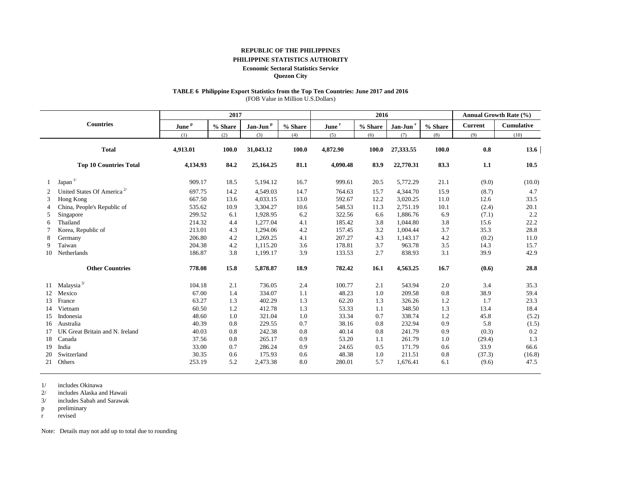## **REPUBLIC OF THE PHILIPPINES**

## **PHILIPPINE STATISTICS AUTHORITY**

#### **Economic Sectoral Statistics Service**

**Quezon City**

## **TABLE 6 Philippine Export Statistics from the Top Ten Countries: June 2017 and 2016**

(FOB Value in Million U.S.Dollars)

| 2017 |                                        |                   |         |                      |         |                   | 2016    |                      | <b>Annual Growth Rate (%)</b> |                |                   |
|------|----------------------------------------|-------------------|---------|----------------------|---------|-------------------|---------|----------------------|-------------------------------|----------------|-------------------|
|      | <b>Countries</b>                       | June <sup>P</sup> | % Share | Jan-Jun <sup>p</sup> | % Share | June <sup>r</sup> | % Share | Jan-Jun <sup>r</sup> | % Share                       | <b>Current</b> | <b>Cumulative</b> |
|      |                                        | (1)               | (2)     | (3)                  | (4)     | (5)               | (6)     | (7)                  | (8)                           | (9)            | (10)              |
|      | <b>Total</b>                           | 4,913.01          | 100.0   | 31,043.12            | 100.0   | 4,872.90          | 100.0   | 27,333.55            | 100.0                         | 0.8            | 13.6              |
|      | <b>Top 10 Countries Total</b>          | 4,134.93          | 84.2    | 25,164.25            | 81.1    | 4,090.48          | 83.9    | 22,770.31            | 83.3                          | 1.1            | 10.5              |
|      | Japan $\frac{1}{2}$                    | 909.17            | 18.5    | 5,194.12             | 16.7    | 999.61            | 20.5    | 5,772.29             | 21.1                          | (9.0)          | (10.0)            |
| 2    | United States Of America <sup>2/</sup> | 697.75            | 14.2    | 4,549.03             | 14.7    | 764.63            | 15.7    | 4,344.70             | 15.9                          | (8.7)          | 4.7               |
| 3    | Hong Kong                              | 667.50            | 13.6    | 4,033.15             | 13.0    | 592.67            | 12.2    | 3,020.25             | 11.0                          | 12.6           | 33.5              |
|      | China, People's Republic of            | 535.62            | 10.9    | 3,304.27             | 10.6    | 548.53            | 11.3    | 2,751.19             | 10.1                          | (2.4)          | 20.1              |
| 5    | Singapore                              | 299.52            | 6.1     | 1,928.95             | 6.2     | 322.56            | 6.6     | 1,886.76             | 6.9                           | (7.1)          | 2.2               |
| 6    | Thailand                               | 214.32            | 4.4     | 1,277.04             | 4.1     | 185.42            | 3.8     | 1,044.80             | 3.8                           | 15.6           | 22.2              |
|      | Korea, Republic of                     | 213.01            | 4.3     | 1,294.06             | 4.2     | 157.45            | 3.2     | 1,004.44             | 3.7                           | 35.3           | 28.8              |
| 8    | Germany                                | 206.80            | 4.2     | 1,269.25             | 4.1     | 207.27            | 4.3     | 1,143.17             | 4.2                           | (0.2)          | 11.0              |
| 9    | Taiwan                                 | 204.38            | 4.2     | 1,115.20             | 3.6     | 178.81            | 3.7     | 963.78               | 3.5                           | 14.3           | 15.7              |
| 10   | Netherlands                            | 186.87            | 3.8     | 1,199.17             | 3.9     | 133.53            | 2.7     | 838.93               | 3.1                           | 39.9           | 42.9              |
|      | <b>Other Countries</b>                 | 778.08            | 15.8    | 5,878.87             | 18.9    | 782.42            | 16.1    | 4,563.25             | 16.7                          | (0.6)          | 28.8              |
| 11   | Malaysia <sup>3/</sup>                 | 104.18            | 2.1     | 736.05               | 2.4     | 100.77            | 2.1     | 543.94               | 2.0                           | 3.4            | 35.3              |
| 12   | Mexico                                 | 67.00             | 1.4     | 334.07               | 1.1     | 48.23             | 1.0     | 209.58               | 0.8                           | 38.9           | 59.4              |
| 13   | France                                 | 63.27             | 1.3     | 402.29               | 1.3     | 62.20             | 1.3     | 326.26               | 1.2                           | 1.7            | 23.3              |
| 14   | Vietnam                                | 60.50             | 1.2     | 412.78               | 1.3     | 53.33             | 1.1     | 348.50               | 1.3                           | 13.4           | 18.4              |
| 15   | Indonesia                              | 48.60             | 1.0     | 321.04               | 1.0     | 33.34             | 0.7     | 338.74               | 1.2                           | 45.8           | (5.2)             |
| 16   | Australia                              | 40.39             | 0.8     | 229.55               | 0.7     | 38.16             | 0.8     | 232.94               | 0.9                           | 5.8            | (1.5)             |
| 17   | UK Great Britain and N. Ireland        | 40.03             | 0.8     | 242.38               | 0.8     | 40.14             | 0.8     | 241.79               | 0.9                           | (0.3)          | 0.2               |
| 18   | Canada                                 | 37.56             | 0.8     | 265.17               | 0.9     | 53.20             | 1.1     | 261.79               | 1.0                           | (29.4)         | 1.3               |
| 19   | India                                  | 33.00             | 0.7     | 286.24               | 0.9     | 24.65             | 0.5     | 171.79               | 0.6                           | 33.9           | 66.6              |
| 20   | Switzerland                            | 30.35             | 0.6     | 175.93               | 0.6     | 48.38             | 1.0     | 211.51               | 0.8                           | (37.3)         | (16.8)            |
| 21   | Others                                 | 253.19            | 5.2     | 2,473.38             | 8.0     | 280.01            | 5.7     | 1,676.41             | 6.1                           | (9.6)          | 47.5              |

1/ includes Okinawa

2/ includes Alaska and Hawaii

3/ includes Sabah and Sarawak

p preliminary

r revised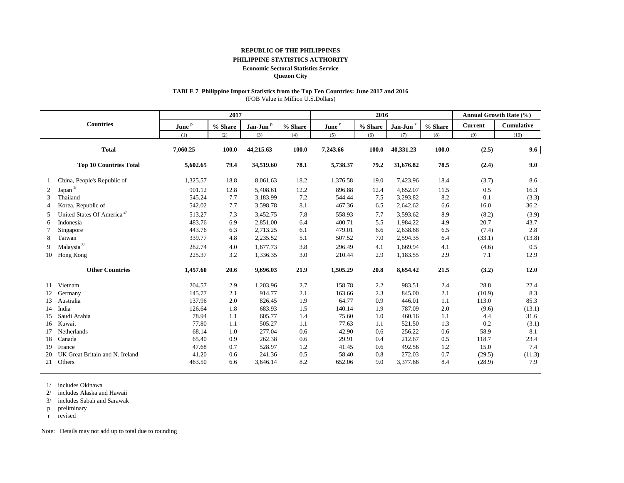## **REPUBLIC OF THE PHILIPPINES**

## **PHILIPPINE STATISTICS AUTHORITY**

#### **Economic Sectoral Statistics Service**

**Quezon City**

# **TABLE 7 Philippine Import Statistics from the Top Ten Countries: June 2017 and 2016**

(FOB Value in Million U.S.Dollars)

|    |                                        |                   | 2017    |                      |         | 2016              |         |                    |         | Annual Growth Rate (%) |                   |
|----|----------------------------------------|-------------------|---------|----------------------|---------|-------------------|---------|--------------------|---------|------------------------|-------------------|
|    | <b>Countries</b>                       | June <sup>P</sup> | % Share | Jan-Jun <sup>p</sup> | % Share | June <sup>r</sup> | % Share | Jan-Jun $^{\rm r}$ | % Share | <b>Current</b>         | <b>Cumulative</b> |
|    |                                        | (1)               | (2)     | (3)                  | (4)     | (5)               | (6)     | (7)                | (8)     | (9)                    | (10)              |
|    | <b>Total</b>                           | 7,060.25          | 100.0   | 44,215.63            | 100.0   | 7,243.66          | 100.0   | 40,331.23          | 100.0   | (2.5)                  | 9.6               |
|    | <b>Top 10 Countries Total</b>          | 5,602.65          | 79.4    | 34,519.60            | 78.1    | 5,738.37          | 79.2    | 31,676.82          | 78.5    | (2.4)                  | 9.0               |
|    | China, People's Republic of            | 1,325.57          | 18.8    | 8,061.63             | 18.2    | 1,376.58          | 19.0    | 7,423.96           | 18.4    | (3.7)                  | 8.6               |
| 2  | Japan $L$                              | 901.12            | 12.8    | 5,408.61             | 12.2    | 896.88            | 12.4    | 4,652.07           | 11.5    | 0.5                    | 16.3              |
| 3  | Thailand                               | 545.24            | 7.7     | 3,183.99             | 7.2     | 544.44            | 7.5     | 3,293.82           | 8.2     | 0.1                    | (3.3)             |
| 4  | Korea, Republic of                     | 542.02            | 7.7     | 3,598.78             | 8.1     | 467.36            | 6.5     | 2,642.62           | 6.6     | 16.0                   | 36.2              |
| 5  | United States Of America <sup>2/</sup> | 513.27            | 7.3     | 3,452.75             | 7.8     | 558.93            | 7.7     | 3,593.62           | 8.9     | (8.2)                  | (3.9)             |
| 6  | Indonesia                              | 483.76            | 6.9     | 2,851.00             | 6.4     | 400.71            | 5.5     | 1,984.22           | 4.9     | 20.7                   | 43.7              |
|    | Singapore                              | 443.76            | 6.3     | 2,713.25             | 6.1     | 479.01            | 6.6     | 2,638.68           | 6.5     | (7.4)                  | 2.8               |
| 8  | Taiwan                                 | 339.77            | 4.8     | 2,235.52             | 5.1     | 507.52            | 7.0     | 2,594.35           | 6.4     | (33.1)                 | (13.8)            |
| 9  | Malaysia $^{3\prime}$                  | 282.74            | 4.0     | 1.677.73             | 3.8     | 296.49            | 4.1     | 1,669.94           | 4.1     | (4.6)                  | 0.5               |
| 10 | Hong Kong                              | 225.37            | 3.2     | 1,336.35             | 3.0     | 210.44            | 2.9     | 1,183.55           | 2.9     | 7.1                    | 12.9              |
|    | <b>Other Countries</b>                 | 1,457.60          | 20.6    | 9,696.03             | 21.9    | 1,505.29          | 20.8    | 8,654.42           | 21.5    | (3.2)                  | 12.0              |
| 11 | Vietnam                                | 204.57            | 2.9     | 1,203.96             | 2.7     | 158.78            | 2.2     | 983.51             | 2.4     | 28.8                   | 22.4              |
| 12 | Germany                                | 145.77            | 2.1     | 914.77               | 2.1     | 163.66            | 2.3     | 845.00             | 2.1     | (10.9)                 | 8.3               |
| 13 | Australia                              | 137.96            | 2.0     | 826.45               | 1.9     | 64.77             | 0.9     | 446.01             | 1.1     | 113.0                  | 85.3              |
| 14 | India                                  | 126.64            | 1.8     | 683.93               | 1.5     | 140.14            | 1.9     | 787.09             | 2.0     | (9.6)                  | (13.1)            |
| 15 | Saudi Arabia                           | 78.94             | 1.1     | 605.77               | 1.4     | 75.60             | 1.0     | 460.16             | 1.1     | 4.4                    | 31.6              |
| 16 | Kuwait                                 | 77.80             | 1.1     | 505.27               | 1.1     | 77.63             | 1.1     | 521.50             | 1.3     | 0.2                    | (3.1)             |
| 17 | <b>Netherlands</b>                     | 68.14             | 1.0     | 277.04               | 0.6     | 42.90             | 0.6     | 256.22             | 0.6     | 58.9                   | 8.1               |
| 18 | Canada                                 | 65.40             | 0.9     | 262.38               | 0.6     | 29.91             | 0.4     | 212.67             | 0.5     | 118.7                  | 23.4              |
| 19 | France                                 | 47.68             | 0.7     | 528.97               | 1.2     | 41.45             | 0.6     | 492.56             | 1.2     | 15.0                   | 7.4               |
| 20 | UK Great Britain and N. Ireland        | 41.20             | 0.6     | 241.36               | 0.5     | 58.40             | 0.8     | 272.03             | 0.7     | (29.5)                 | (11.3)            |
| 21 | Others                                 | 463.50            | 6.6     | 3,646.14             | 8.2     | 652.06            | 9.0     | 3,377.66           | 8.4     | (28.9)                 | 7.9               |

1/ includes Okinawa

2/ includes Alaska and Hawaii

3/ includes Sabah and Sarawak

p preliminary

r revised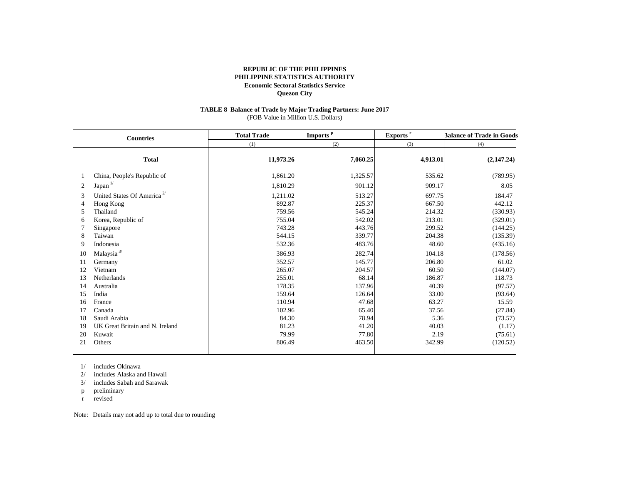### **TABLE 8 Balance of Trade by Major Trading Partners: June 2017** (FOB Value in Million U.S. Dollars)

| <b>Countries</b>                             |                                                                                                                                                               | <b>Total Trade</b>                                                                       | Imports <sup>p</sup>                                                                   | Exports <sup>r</sup>                                                                  | <b>Balance of Trade in Goods</b>                                                                  |  |
|----------------------------------------------|---------------------------------------------------------------------------------------------------------------------------------------------------------------|------------------------------------------------------------------------------------------|----------------------------------------------------------------------------------------|---------------------------------------------------------------------------------------|---------------------------------------------------------------------------------------------------|--|
|                                              |                                                                                                                                                               | (1)                                                                                      | (2)                                                                                    | (3)                                                                                   | (4)                                                                                               |  |
|                                              | <b>Total</b>                                                                                                                                                  | 11,973.26                                                                                | 7,060.25                                                                               | 4,913.01                                                                              | (2,147.24)                                                                                        |  |
|                                              | China, People's Republic of                                                                                                                                   | 1,861.20                                                                                 | 1,325.57                                                                               | 535.62                                                                                | (789.95)                                                                                          |  |
| 2                                            | Japan <sup>1/</sup>                                                                                                                                           | 1,810.29                                                                                 | 901.12                                                                                 | 909.17                                                                                | 8.05                                                                                              |  |
| 3<br>4<br>5<br>6<br>8<br>9<br>10<br>11       | United States Of America <sup>2/</sup><br>Hong Kong<br>Thailand<br>Korea, Republic of<br>Singapore<br>Taiwan<br>Indonesia<br>Malaysia $^{3\prime}$<br>Germany | 1,211.02<br>892.87<br>759.56<br>755.04<br>743.28<br>544.15<br>532.36<br>386.93<br>352.57 | 513.27<br>225.37<br>545.24<br>542.02<br>443.76<br>339.77<br>483.76<br>282.74<br>145.77 | 697.75<br>667.50<br>214.32<br>213.01<br>299.52<br>204.38<br>48.60<br>104.18<br>206.80 | 184.47<br>442.12<br>(330.93)<br>(329.01)<br>(144.25)<br>(135.39)<br>(435.16)<br>(178.56)<br>61.02 |  |
| 12<br>13                                     | Vietnam<br><b>Netherlands</b>                                                                                                                                 | 265.07<br>255.01                                                                         | 204.57<br>68.14                                                                        | 60.50<br>186.87                                                                       | (144.07)<br>118.73                                                                                |  |
| 14<br>15<br>16<br>17<br>18<br>19<br>20<br>21 | Australia<br>India<br>France<br>Canada<br>Saudi Arabia<br>UK Great Britain and N. Ireland<br>Kuwait<br>Others                                                 | 178.35<br>159.64<br>110.94<br>102.96<br>84.30<br>81.23<br>79.99<br>806.49                | 137.96<br>126.64<br>47.68<br>65.40<br>78.94<br>41.20<br>77.80<br>463.50                | 40.39<br>33.00<br>63.27<br>37.56<br>5.36<br>40.03<br>2.19<br>342.99                   | (97.57)<br>(93.64)<br>15.59<br>(27.84)<br>(73.57)<br>(1.17)<br>(75.61)<br>(120.52)                |  |
|                                              |                                                                                                                                                               |                                                                                          |                                                                                        |                                                                                       |                                                                                                   |  |

1/ includes Okinawa

2/ includes Alaska and Hawaii

3/ includes Sabah and Sarawak

p preliminary

r revised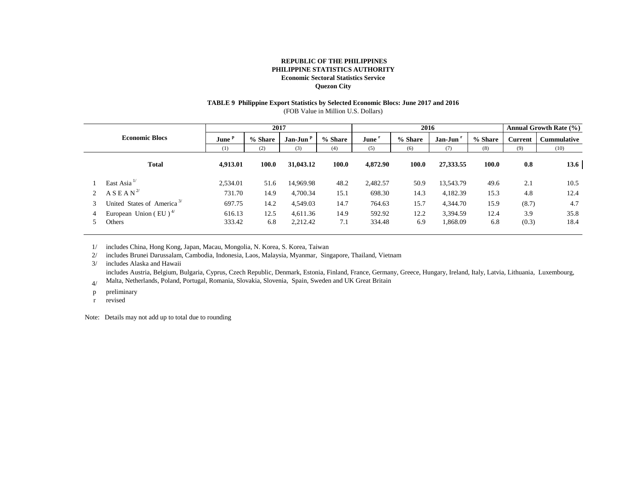## **TABLE 9 Philippine Export Statistics by Selected Economic Blocs: June 2017 and 2016**

(FOB Value in Million U.S. Dollars)

|                                                |          | 2017    |                      |         |                   |         | 2016      |              | <b>Annual Growth Rate (%)</b> |                    |
|------------------------------------------------|----------|---------|----------------------|---------|-------------------|---------|-----------|--------------|-------------------------------|--------------------|
| <b>Economic Blocs</b>                          |          | % Share | Jan-Jun <sup>P</sup> | % Share | June <sup>1</sup> | % Share | Jan-Jun   | % Share      | <b>Current</b>                | <b>Cummulative</b> |
|                                                | (1)      | (2)     | (3)                  | (4)     | (5)               | (6)     | (7)       | (8)          | (9)                           | (10)               |
| <b>Total</b>                                   | 4,913.01 | 100.0   | 31,043.12            | 100.0   | 4,872.90          | 100.0   | 27,333.55 | <b>100.0</b> | 0.8                           | 13.6               |
| East Asia $^{1/}$                              | 2,534.01 | 51.6    | 14,969.98            | 48.2    | 2,482.57          | 50.9    | 13.543.79 | 49.6         | 2.1                           | 10.5               |
| A S E A N <sup>2</sup>                         | 731.70   | 14.9    | 4,700.34             | 15.1    | 698.30            | 14.3    | 4,182.39  | 15.3         | 4.8                           | 12.4               |
| United States of America <sup>3/</sup>         | 697.75   | 14.2    | 4,549.03             | 14.7    | 764.63            | 15.7    | 4,344.70  | 15.9         | (8.7)                         | 4.7                |
| European Union (EU) <sup><math>4/</math></sup> | 616.13   | 12.5    | 4,611.36             | 14.9    | 592.92            | 12.2    | 3,394.59  | 12.4         | 3.9                           | 35.8               |
| Others                                         | 333.42   | 6.8     | 2,212.42             | 7.1     | 334.48            | 6.9     | 1,868.09  | 6.8          | (0.3)                         | 18.4               |

1/ includes China, Hong Kong, Japan, Macau, Mongolia, N. Korea, S. Korea, Taiwan

2/ includes Brunei Darussalam, Cambodia, Indonesia, Laos, Malaysia, Myanmar, Singapore, Thailand, Vietnam

3/ includes Alaska and Hawaii

includes Austria, Belgium, Bulgaria, Cyprus, Czech Republic, Denmark, Estonia, Finland, France, Germany, Greece, Hungary, Ireland, Italy, Latvia, Lithuania, Luxembourg,

4/ Malta, Netherlands, Poland, Portugal, Romania, Slovakia, Slovenia, Spain, Sweden and UK Great Britain

p preliminary

r revised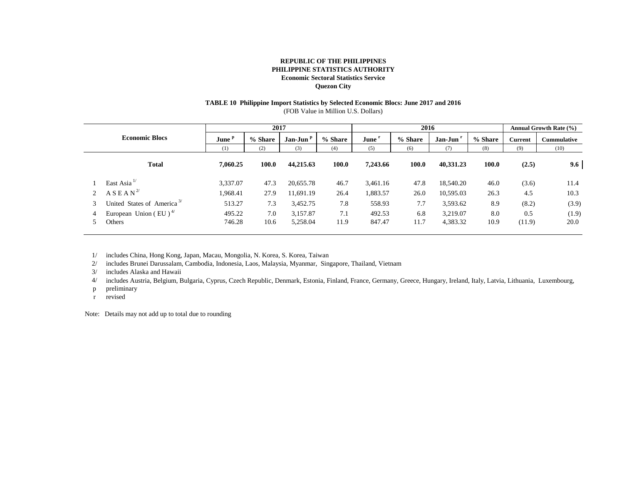# **TABLE 10 Philippine Import Statistics by Selected Economic Blocs: June 2017 and 2016**

(FOB Value in Million U.S. Dollars)

| <b>Economic Blocs</b> |                                                          |                   | 2017        |                      |             | 2016              |             |                      | <b>Annual Growth Rate (%)</b> |                |                    |
|-----------------------|----------------------------------------------------------|-------------------|-------------|----------------------|-------------|-------------------|-------------|----------------------|-------------------------------|----------------|--------------------|
|                       |                                                          | June <sup>p</sup> | % Share     | Jan-Jun <sup>p</sup> | % Share     | June <sup>r</sup> | % Share     | Jan-Jun              | % Share                       | <b>Current</b> | <b>Cummulative</b> |
|                       |                                                          | (1)               | (2)         | (3)                  | (4)         | (5)               | (6)         | (7)                  | (8)                           | (9)            | (10)               |
|                       | <b>Total</b>                                             | 7,060.25          | 100.0       | 44,215.63            | 100.0       | 7,243.66          | 100.0       | 40,331.23            | 100.0                         | (2.5)          | 9.6                |
|                       | East Asia $1$                                            | 3,337.07          | 47.3        | 20,655.78            | 46.7        | 3,461.16          | 47.8        | 18,540.20            | 46.0                          | (3.6)          | 11.4               |
|                       | A S E A N <sup>2</sup>                                   | 1,968.41          | 27.9        | 11,691.19            | 26.4        | 1,883.57          | 26.0        | 10,595.03            | 26.3                          | 4.5            | 10.3               |
| 3                     | United States of America <sup>3/</sup>                   | 513.27            | 7.3         | 3,452.75             | 7.8         | 558.93            | 7.7         | 3,593.62             | 8.9                           | (8.2)          | (3.9)              |
| 4                     | European Union (EU) <sup><math>4/</math></sup><br>Others | 495.22<br>746.28  | 7.0<br>10.6 | 3,157.87<br>5,258.04 | 7.1<br>11.9 | 492.53<br>847.47  | 6.8<br>11.7 | 3,219.07<br>4,383.32 | 8.0<br>10.9                   | 0.5<br>(11.9)  | (1.9)<br>20.0      |

1/ includes China, Hong Kong, Japan, Macau, Mongolia, N. Korea, S. Korea, Taiwan

2/ includes Brunei Darussalam, Cambodia, Indonesia, Laos, Malaysia, Myanmar, Singapore, Thailand, Vietnam

3/ includes Alaska and Hawaii

4/ includes Austria, Belgium, Bulgaria, Cyprus, Czech Republic, Denmark, Estonia, Finland, France, Germany, Greece, Hungary, Ireland, Italy, Latvia, Lithuania, Luxembourg,

- p preliminary
- r revised